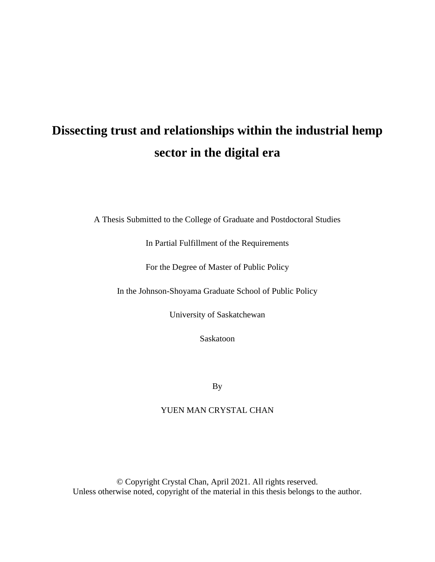# **Dissecting trust and relationships within the industrial hemp sector in the digital era**

A Thesis Submitted to the College of Graduate and Postdoctoral Studies

In Partial Fulfillment of the Requirements

For the Degree of Master of Public Policy

In the Johnson-Shoyama Graduate School of Public Policy

University of Saskatchewan

Saskatoon

By

# YUEN MAN CRYSTAL CHAN

© Copyright Crystal Chan, April 2021. All rights reserved. Unless otherwise noted, copyright of the material in this thesis belongs to the author.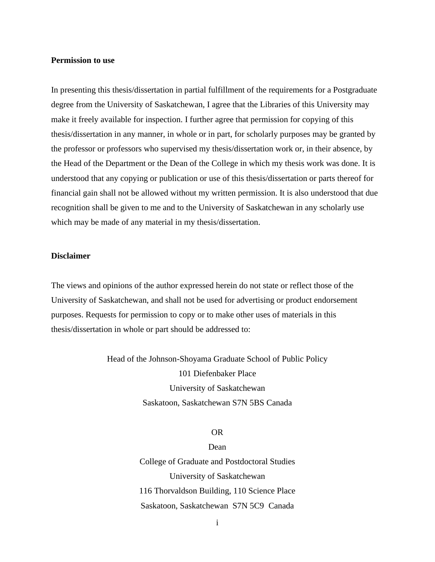#### <span id="page-1-0"></span>**Permission to use**

In presenting this thesis/dissertation in partial fulfillment of the requirements for a Postgraduate degree from the University of Saskatchewan, I agree that the Libraries of this University may make it freely available for inspection. I further agree that permission for copying of this thesis/dissertation in any manner, in whole or in part, for scholarly purposes may be granted by the professor or professors who supervised my thesis/dissertation work or, in their absence, by the Head of the Department or the Dean of the College in which my thesis work was done. It is understood that any copying or publication or use of this thesis/dissertation or parts thereof for financial gain shall not be allowed without my written permission. It is also understood that due recognition shall be given to me and to the University of Saskatchewan in any scholarly use which may be made of any material in my thesis/dissertation.

#### <span id="page-1-1"></span>**Disclaimer**

The views and opinions of the author expressed herein do not state or reflect those of the University of Saskatchewan, and shall not be used for advertising or product endorsement purposes. Requests for permission to copy or to make other uses of materials in this thesis/dissertation in whole or part should be addressed to:

> Head of the Johnson-Shoyama Graduate School of Public Policy 101 Diefenbaker Place University of Saskatchewan Saskatoon, Saskatchewan S7N 5BS Canada

#### OR

## Dean

College of Graduate and Postdoctoral Studies University of Saskatchewan 116 Thorvaldson Building, 110 Science Place Saskatoon, Saskatchewan S7N 5C9 Canada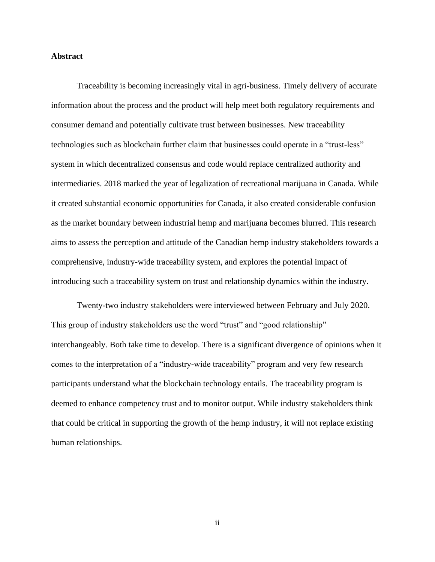#### <span id="page-2-0"></span>**Abstract**

Traceability is becoming increasingly vital in agri-business. Timely delivery of accurate information about the process and the product will help meet both regulatory requirements and consumer demand and potentially cultivate trust between businesses. New traceability technologies such as blockchain further claim that businesses could operate in a "trust-less" system in which decentralized consensus and code would replace centralized authority and intermediaries. 2018 marked the year of legalization of recreational marijuana in Canada. While it created substantial economic opportunities for Canada, it also created considerable confusion as the market boundary between industrial hemp and marijuana becomes blurred. This research aims to assess the perception and attitude of the Canadian hemp industry stakeholders towards a comprehensive, industry-wide traceability system, and explores the potential impact of introducing such a traceability system on trust and relationship dynamics within the industry.

Twenty-two industry stakeholders were interviewed between February and July 2020. This group of industry stakeholders use the word "trust" and "good relationship" interchangeably. Both take time to develop. There is a significant divergence of opinions when it comes to the interpretation of a "industry-wide traceability" program and very few research participants understand what the blockchain technology entails. The traceability program is deemed to enhance competency trust and to monitor output. While industry stakeholders think that could be critical in supporting the growth of the hemp industry, it will not replace existing human relationships.

ii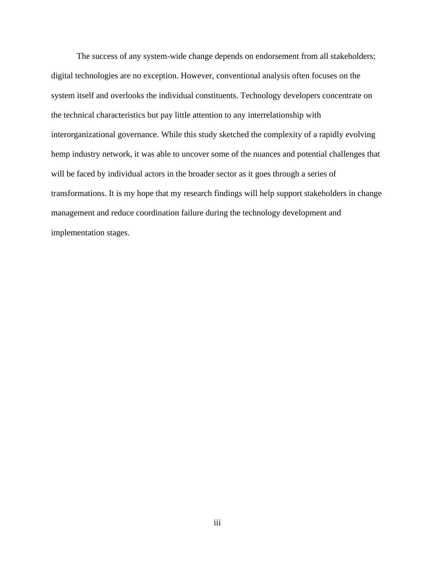The success of any system-wide change depends on endorsement from all stakeholders; digital technologies are no exception. However, conventional analysis often focuses on the system itself and overlooks the individual constituents. Technology developers concentrate on the technical characteristics but pay little attention to any interrelationship with interorganizational governance. While this study sketched the complexity of a rapidly evolving hemp industry network, it was able to uncover some of the nuances and potential challenges that will be faced by individual actors in the broader sector as it goes through a series of transformations. It is my hope that my research findings will help support stakeholders in change management and reduce coordination failure during the technology development and implementation stages.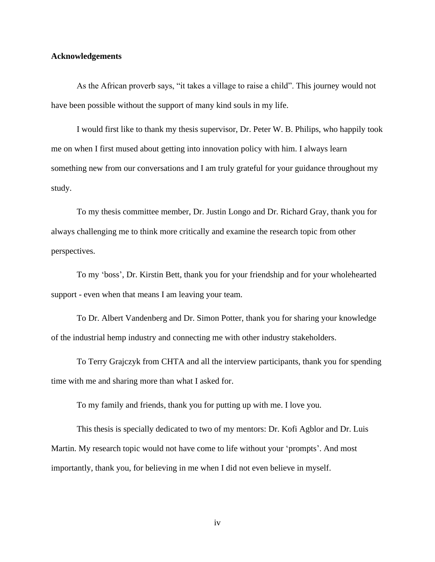#### <span id="page-4-0"></span>**Acknowledgements**

As the African proverb says, "it takes a village to raise a child". This journey would not have been possible without the support of many kind souls in my life.

I would first like to thank my thesis supervisor, Dr. Peter W. B. Philips, who happily took me on when I first mused about getting into innovation policy with him. I always learn something new from our conversations and I am truly grateful for your guidance throughout my study.

To my thesis committee member, Dr. Justin Longo and Dr. Richard Gray, thank you for always challenging me to think more critically and examine the research topic from other perspectives.

To my 'boss', Dr. Kirstin Bett, thank you for your friendship and for your wholehearted support - even when that means I am leaving your team.

To Dr. Albert Vandenberg and Dr. Simon Potter, thank you for sharing your knowledge of the industrial hemp industry and connecting me with other industry stakeholders.

To Terry Grajczyk from CHTA and all the interview participants, thank you for spending time with me and sharing more than what I asked for.

To my family and friends, thank you for putting up with me. I love you.

This thesis is specially dedicated to two of my mentors: Dr. Kofi Agblor and Dr. Luis Martin. My research topic would not have come to life without your 'prompts'. And most importantly, thank you, for believing in me when I did not even believe in myself.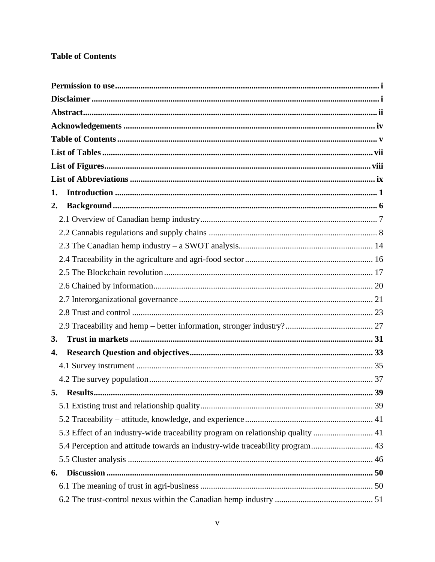# <span id="page-5-0"></span>**Table of Contents**

| 1. |  |
|----|--|
| 2. |  |
|    |  |
|    |  |
|    |  |
|    |  |
|    |  |
|    |  |
|    |  |
|    |  |
|    |  |
| 3. |  |
| 4. |  |
|    |  |
|    |  |
| 5. |  |
|    |  |
|    |  |
|    |  |
|    |  |
|    |  |
| 6. |  |
|    |  |
|    |  |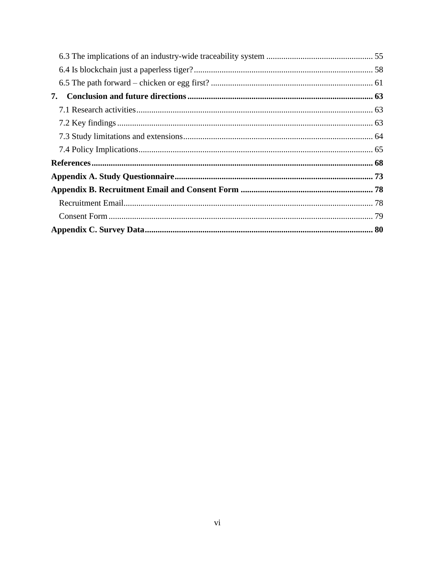| 7. |  |
|----|--|
|    |  |
|    |  |
|    |  |
|    |  |
|    |  |
|    |  |
|    |  |
|    |  |
|    |  |
|    |  |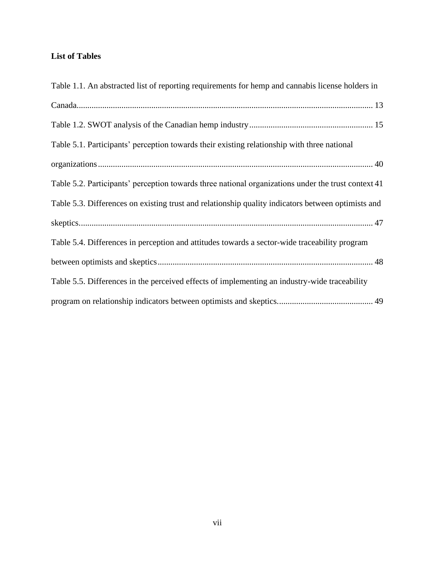# <span id="page-7-0"></span>**List of Tables**

| Table 1.1. An abstracted list of reporting requirements for hemp and cannabis license holders in    |
|-----------------------------------------------------------------------------------------------------|
|                                                                                                     |
|                                                                                                     |
| Table 5.1. Participants' perception towards their existing relationship with three national         |
|                                                                                                     |
| Table 5.2. Participants' perception towards three national organizations under the trust context 41 |
| Table 5.3. Differences on existing trust and relationship quality indicators between optimists and  |
|                                                                                                     |
| Table 5.4. Differences in perception and attitudes towards a sector-wide traceability program       |
|                                                                                                     |
| Table 5.5. Differences in the perceived effects of implementing an industry-wide traceability       |
|                                                                                                     |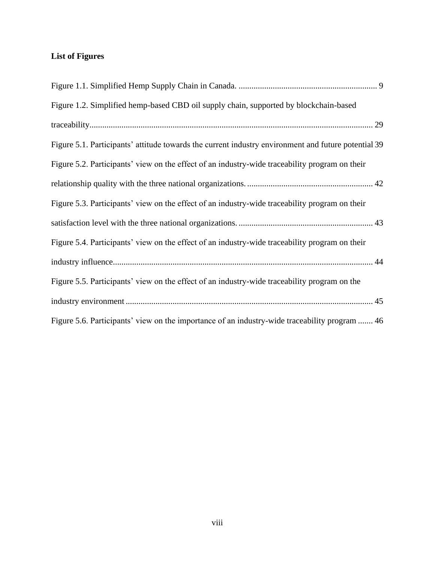# <span id="page-8-0"></span>**List of Figures**

| Figure 1.2. Simplified hemp-based CBD oil supply chain, supported by blockchain-based               |
|-----------------------------------------------------------------------------------------------------|
|                                                                                                     |
| Figure 5.1. Participants' attitude towards the current industry environment and future potential 39 |
| Figure 5.2. Participants' view on the effect of an industry-wide traceability program on their      |
|                                                                                                     |
| Figure 5.3. Participants' view on the effect of an industry-wide traceability program on their      |
|                                                                                                     |
| Figure 5.4. Participants' view on the effect of an industry-wide traceability program on their      |
|                                                                                                     |
| Figure 5.5. Participants' view on the effect of an industry-wide traceability program on the        |
|                                                                                                     |
| Figure 5.6. Participants' view on the importance of an industry-wide traceability program  46       |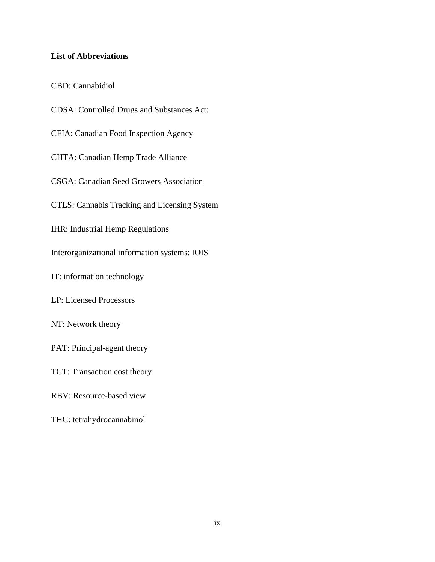# <span id="page-9-0"></span>**List of Abbreviations**

CBD: Cannabidiol

CDSA: Controlled Drugs and Substances Act: CFIA: Canadian Food Inspection Agency CHTA: Canadian Hemp Trade Alliance CSGA: Canadian Seed Growers Association CTLS: Cannabis Tracking and Licensing System IHR: Industrial Hemp Regulations Interorganizational information systems: IOIS IT: information technology LP: Licensed Processors NT: Network theory PAT: Principal-agent theory TCT: Transaction cost theory RBV: Resource-based view THC: tetrahydrocannabinol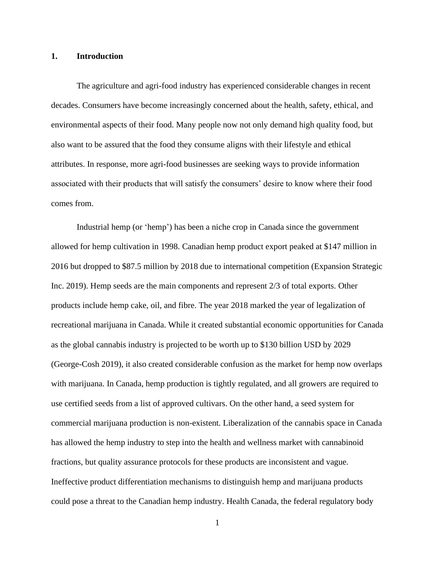#### <span id="page-10-0"></span>**1. Introduction**

The agriculture and agri-food industry has experienced considerable changes in recent decades. Consumers have become increasingly concerned about the health, safety, ethical, and environmental aspects of their food. Many people now not only demand high quality food, but also want to be assured that the food they consume aligns with their lifestyle and ethical attributes. In response, more agri-food businesses are seeking ways to provide information associated with their products that will satisfy the consumers' desire to know where their food comes from.

Industrial hemp (or 'hemp') has been a niche crop in Canada since the government allowed for hemp cultivation in 1998. Canadian hemp product export peaked at \$147 million in 2016 but dropped to \$87.5 million by 2018 due to international competition (Expansion Strategic Inc. 2019). Hemp seeds are the main components and represent 2/3 of total exports. Other products include hemp cake, oil, and fibre. The year 2018 marked the year of legalization of recreational marijuana in Canada. While it created substantial economic opportunities for Canada as the global cannabis industry is projected to be worth up to \$130 billion USD by 2029 (George-Cosh 2019), it also created considerable confusion as the market for hemp now overlaps with marijuana. In Canada, hemp production is tightly regulated, and all growers are required to use certified seeds from a list of approved cultivars. On the other hand, a seed system for commercial marijuana production is non-existent. Liberalization of the cannabis space in Canada has allowed the hemp industry to step into the health and wellness market with cannabinoid fractions, but quality assurance protocols for these products are inconsistent and vague. Ineffective product differentiation mechanisms to distinguish hemp and marijuana products could pose a threat to the Canadian hemp industry. Health Canada, the federal regulatory body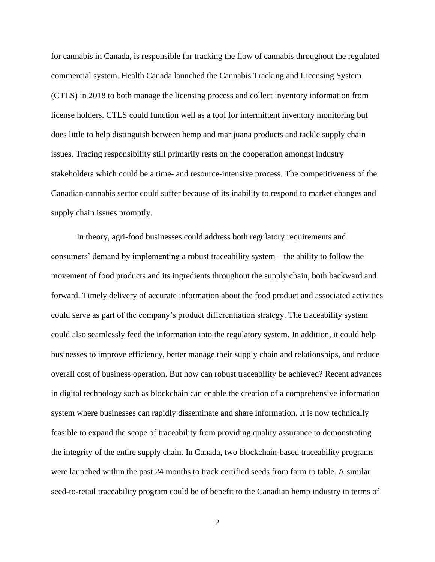for cannabis in Canada, is responsible for tracking the flow of cannabis throughout the regulated commercial system. Health Canada launched the Cannabis Tracking and Licensing System (CTLS) in 2018 to both manage the licensing process and collect inventory information from license holders. CTLS could function well as a tool for intermittent inventory monitoring but does little to help distinguish between hemp and marijuana products and tackle supply chain issues. Tracing responsibility still primarily rests on the cooperation amongst industry stakeholders which could be a time- and resource-intensive process. The competitiveness of the Canadian cannabis sector could suffer because of its inability to respond to market changes and supply chain issues promptly.

In theory, agri-food businesses could address both regulatory requirements and consumers' demand by implementing a robust traceability system – the ability to follow the movement of food products and its ingredients throughout the supply chain, both backward and forward. Timely delivery of accurate information about the food product and associated activities could serve as part of the company's product differentiation strategy. The traceability system could also seamlessly feed the information into the regulatory system. In addition, it could help businesses to improve efficiency, better manage their supply chain and relationships, and reduce overall cost of business operation. But how can robust traceability be achieved? Recent advances in digital technology such as blockchain can enable the creation of a comprehensive information system where businesses can rapidly disseminate and share information. It is now technically feasible to expand the scope of traceability from providing quality assurance to demonstrating the integrity of the entire supply chain. In Canada, two blockchain-based traceability programs were launched within the past 24 months to track certified seeds from farm to table. A similar seed-to-retail traceability program could be of benefit to the Canadian hemp industry in terms of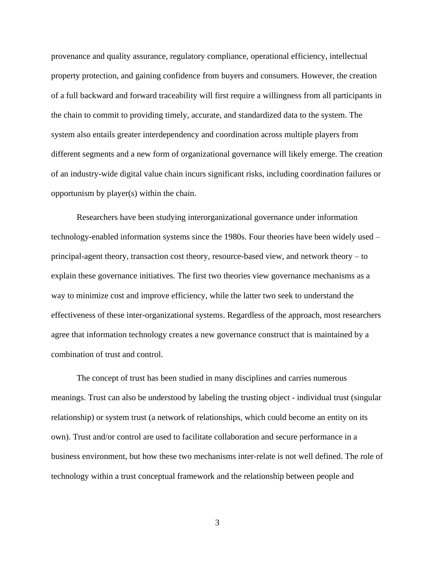provenance and quality assurance, regulatory compliance, operational efficiency, intellectual property protection, and gaining confidence from buyers and consumers. However, the creation of a full backward and forward traceability will first require a willingness from all participants in the chain to commit to providing timely, accurate, and standardized data to the system. The system also entails greater interdependency and coordination across multiple players from different segments and a new form of organizational governance will likely emerge. The creation of an industry-wide digital value chain incurs significant risks, including coordination failures or opportunism by player(s) within the chain.

Researchers have been studying interorganizational governance under information technology-enabled information systems since the 1980s. Four theories have been widely used – principal-agent theory, transaction cost theory, resource-based view, and network theory – to explain these governance initiatives. The first two theories view governance mechanisms as a way to minimize cost and improve efficiency, while the latter two seek to understand the effectiveness of these inter-organizational systems. Regardless of the approach, most researchers agree that information technology creates a new governance construct that is maintained by a combination of trust and control.

The concept of trust has been studied in many disciplines and carries numerous meanings. Trust can also be understood by labeling the trusting object - individual trust (singular relationship) or system trust (a network of relationships, which could become an entity on its own). Trust and/or control are used to facilitate collaboration and secure performance in a business environment, but how these two mechanisms inter-relate is not well defined. The role of technology within a trust conceptual framework and the relationship between people and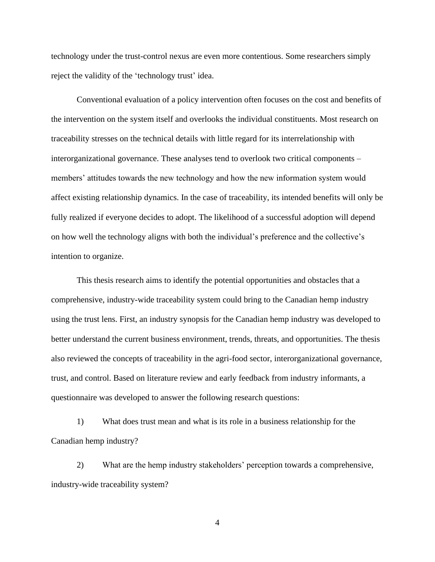technology under the trust-control nexus are even more contentious. Some researchers simply reject the validity of the 'technology trust' idea.

Conventional evaluation of a policy intervention often focuses on the cost and benefits of the intervention on the system itself and overlooks the individual constituents. Most research on traceability stresses on the technical details with little regard for its interrelationship with interorganizational governance. These analyses tend to overlook two critical components *–* members' attitudes towards the new technology and how the new information system would affect existing relationship dynamics. In the case of traceability, its intended benefits will only be fully realized if everyone decides to adopt. The likelihood of a successful adoption will depend on how well the technology aligns with both the individual's preference and the collective's intention to organize.

This thesis research aims to identify the potential opportunities and obstacles that a comprehensive, industry-wide traceability system could bring to the Canadian hemp industry using the trust lens. First, an industry synopsis for the Canadian hemp industry was developed to better understand the current business environment, trends, threats, and opportunities. The thesis also reviewed the concepts of traceability in the agri-food sector, interorganizational governance, trust, and control. Based on literature review and early feedback from industry informants, a questionnaire was developed to answer the following research questions:

1) What does trust mean and what is its role in a business relationship for the Canadian hemp industry?

2) What are the hemp industry stakeholders' perception towards a comprehensive, industry-wide traceability system?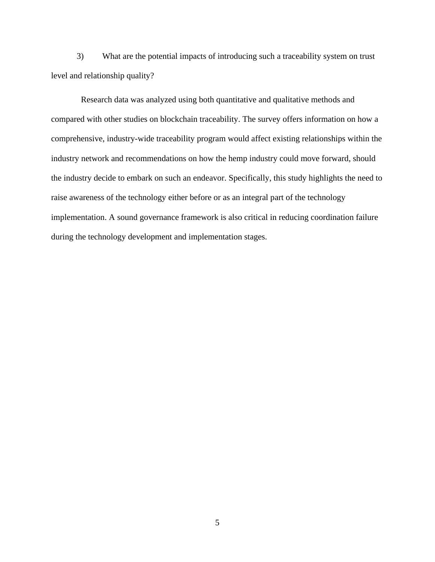3) What are the potential impacts of introducing such a traceability system on trust level and relationship quality?

Research data was analyzed using both quantitative and qualitative methods and compared with other studies on blockchain traceability. The survey offers information on how a comprehensive, industry-wide traceability program would affect existing relationships within the industry network and recommendations on how the hemp industry could move forward, should the industry decide to embark on such an endeavor. Specifically, this study highlights the need to raise awareness of the technology either before or as an integral part of the technology implementation. A sound governance framework is also critical in reducing coordination failure during the technology development and implementation stages.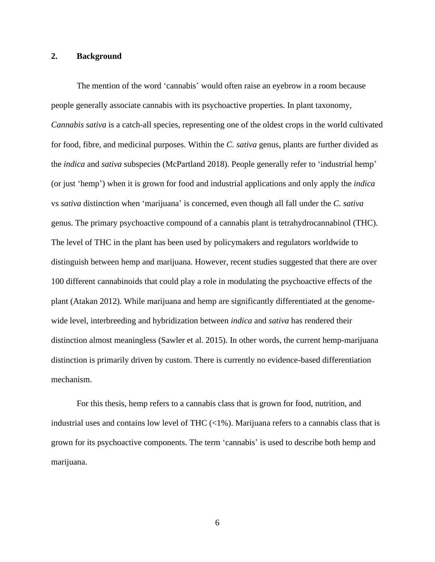## <span id="page-15-0"></span>**2. Background**

The mention of the word 'cannabis' would often raise an eyebrow in a room because people generally associate cannabis with its psychoactive properties. In plant taxonomy, *Cannabis sativa* is a catch-all species, representing one of the oldest crops in the world cultivated for food, fibre, and medicinal purposes. Within the *C. sativa* genus, plants are further divided as the *indica* and *sativa* subspecies (McPartland 2018). People generally refer to 'industrial hemp' (or just 'hemp') when it is grown for food and industrial applications and only apply the *indica* vs *sativa* distinction when 'marijuana' is concerned, even though all fall under the *C. sativa* genus. The primary psychoactive compound of a cannabis plant is tetrahydrocannabinol (THC). The level of THC in the plant has been used by policymakers and regulators worldwide to distinguish between hemp and marijuana. However, recent studies suggested that there are over 100 different cannabinoids that could play a role in modulating the psychoactive effects of the plant (Atakan 2012). While marijuana and hemp are significantly differentiated at the genomewide level, interbreeding and hybridization between *indica* and *sativa* has rendered their distinction almost meaningless (Sawler et al. 2015). In other words, the current hemp-marijuana distinction is primarily driven by custom. There is currently no evidence-based differentiation mechanism.

For this thesis, hemp refers to a cannabis class that is grown for food, nutrition, and industrial uses and contains low level of THC  $\left(\langle 1\% \right)$ . Marijuana refers to a cannabis class that is grown for its psychoactive components. The term 'cannabis' is used to describe both hemp and marijuana.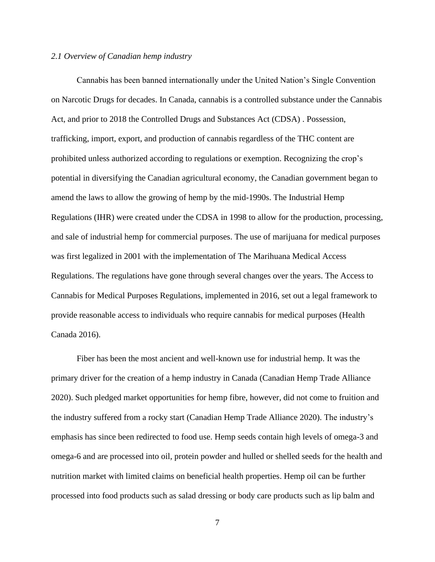#### <span id="page-16-0"></span>*2.1 Overview of Canadian hemp industry*

Cannabis has been banned internationally under the United Nation's Single Convention on Narcotic Drugs for decades. In Canada, cannabis is a controlled substance under the Cannabis Act, and prior to 2018 the Controlled Drugs and Substances Act (CDSA) . Possession, trafficking, import, export, and production of cannabis regardless of the THC content are prohibited unless authorized according to regulations or exemption. Recognizing the crop's potential in diversifying the Canadian agricultural economy, the Canadian government began to amend the laws to allow the growing of hemp by the mid-1990s. The Industrial Hemp Regulations (IHR) were created under the CDSA in 1998 to allow for the production, processing, and sale of industrial hemp for commercial purposes. The use of marijuana for medical purposes was first legalized in 2001 with the implementation of The Marihuana Medical Access Regulations. The regulations have gone through several changes over the years. The Access to Cannabis for Medical Purposes Regulations, implemented in 2016, set out a legal framework to provide reasonable access to individuals who require cannabis for medical purposes (Health Canada 2016).

Fiber has been the most ancient and well-known use for industrial hemp. It was the primary driver for the creation of a hemp industry in Canada (Canadian Hemp Trade Alliance 2020). Such pledged market opportunities for hemp fibre, however, did not come to fruition and the industry suffered from a rocky start (Canadian Hemp Trade Alliance 2020). The industry's emphasis has since been redirected to food use. Hemp seeds contain high levels of omega-3 and omega-6 and are processed into oil, protein powder and hulled or shelled seeds for the health and nutrition market with limited claims on beneficial health properties. Hemp oil can be further processed into food products such as salad dressing or body care products such as lip balm and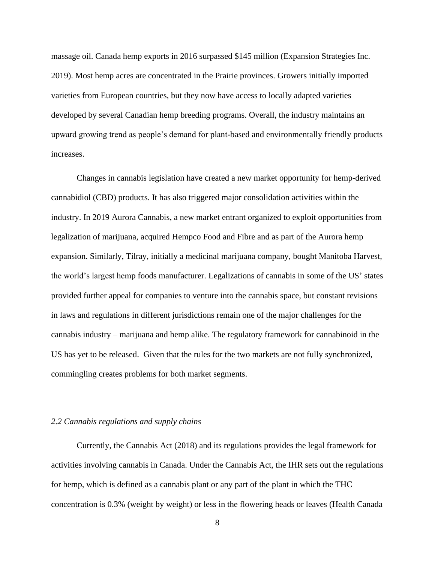massage oil. Canada hemp exports in 2016 surpassed \$145 million (Expansion Strategies Inc. 2019). Most hemp acres are concentrated in the Prairie provinces. Growers initially imported varieties from European countries, but they now have access to locally adapted varieties developed by several Canadian hemp breeding programs. Overall, the industry maintains an upward growing trend as people's demand for plant-based and environmentally friendly products increases.

Changes in cannabis legislation have created a new market opportunity for hemp-derived cannabidiol (CBD) products. It has also triggered major consolidation activities within the industry. In 2019 Aurora Cannabis, a new market entrant organized to exploit opportunities from legalization of marijuana, acquired Hempco Food and Fibre and as part of the Aurora hemp expansion. Similarly, Tilray, initially a medicinal marijuana company, bought Manitoba Harvest, the world's largest hemp foods manufacturer. Legalizations of cannabis in some of the US' states provided further appeal for companies to venture into the cannabis space, but constant revisions in laws and regulations in different jurisdictions remain one of the major challenges for the cannabis industry – marijuana and hemp alike. The regulatory framework for cannabinoid in the US has yet to be released. Given that the rules for the two markets are not fully synchronized, commingling creates problems for both market segments.

## <span id="page-17-0"></span>*2.2 Cannabis regulations and supply chains*

Currently, the Cannabis Act (2018) and its regulations provides the legal framework for activities involving cannabis in Canada. Under the Cannabis Act, the IHR sets out the regulations for hemp, which is defined as a cannabis plant or any part of the plant in which the THC concentration is 0.3% (weight by weight) or less in the flowering heads or leaves (Health Canada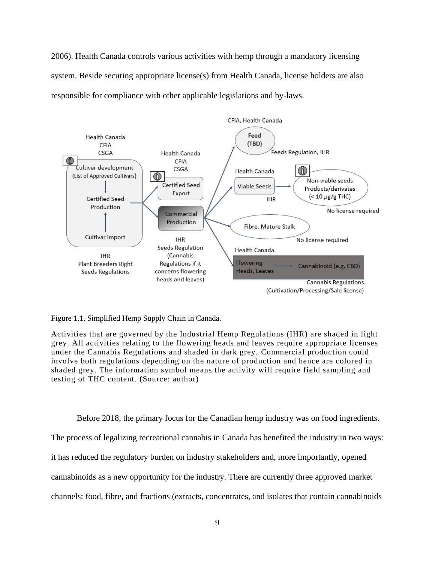2006). Health Canada controls various activities with hemp through a mandatory licensing system. Beside securing appropriate license(s) from Health Canada, license holders are also responsible for compliance with other applicable legislations and by-laws.



<span id="page-18-0"></span>Figure 1.1. Simplified Hemp Supply Chain in Canada.

Activities that are governed by the Industrial Hemp Regulations (IHR) are shaded in light grey. All activities relating to the flowering heads and leaves require appropriate licenses under the Cannabis Regulations and shaded in dark grey. Commercial production could involve both regulations depending on the nature of production and hence are colored in shaded grey. The information symbol means the activity will require field sampling and testing of THC content. (Source: author)

Before 2018, the primary focus for the Canadian hemp industry was on food ingredients.

The process of legalizing recreational cannabis in Canada has benefited the industry in two ways:

it has reduced the regulatory burden on industry stakeholders and, more importantly, opened

cannabinoids as a new opportunity for the industry. There are currently three approved market

channels: food, fibre, and fractions (extracts, concentrates, and isolates that contain cannabinoids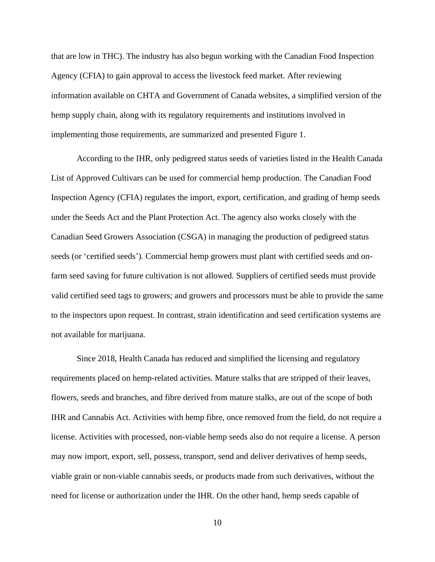that are low in THC). The industry has also begun working with the Canadian Food Inspection Agency (CFIA) to gain approval to access the livestock feed market. After reviewing information available on CHTA and Government of Canada websites, a simplified version of the hemp supply chain, along with its regulatory requirements and institutions involved in implementing those requirements, are summarized and presented Figure 1.

According to the IHR, only pedigreed status seeds of varieties listed in the Health Canada List of Approved Cultivars can be used for commercial hemp production. The Canadian Food Inspection Agency (CFIA) regulates the import, export, certification, and grading of hemp seeds under the Seeds Act and the Plant Protection Act. The agency also works closely with the Canadian Seed Growers Association (CSGA) in managing the production of pedigreed status seeds (or 'certified seeds'). Commercial hemp growers must plant with certified seeds and onfarm seed saving for future cultivation is not allowed. Suppliers of certified seeds must provide valid certified seed tags to growers; and growers and processors must be able to provide the same to the inspectors upon request. In contrast, strain identification and seed certification systems are not available for marijuana.

Since 2018, Health Canada has reduced and simplified the licensing and regulatory requirements placed on hemp-related activities. Mature stalks that are stripped of their leaves, flowers, seeds and branches, and fibre derived from mature stalks, are out of the scope of both IHR and Cannabis Act. Activities with hemp fibre, once removed from the field, do not require a license. Activities with processed, non-viable hemp seeds also do not require a license. A person may now import, export, sell, possess, transport, send and deliver derivatives of hemp seeds, viable grain or non-viable cannabis seeds, or products made from such derivatives, without the need for license or authorization under the IHR. On the other hand, hemp seeds capable of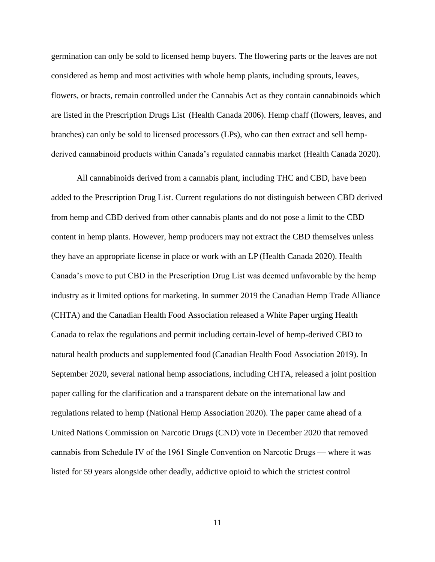germination can only be sold to licensed hemp buyers. The flowering parts or the leaves are not considered as hemp and most activities with whole hemp plants, including sprouts, leaves, flowers, or bracts, remain controlled under the Cannabis Act as they contain cannabinoids which are listed in the Prescription Drugs List (Health Canada 2006). Hemp chaff (flowers, leaves, and branches) can only be sold to licensed processors (LPs), who can then extract and sell hempderived cannabinoid products within Canada's regulated cannabis market (Health Canada 2020).

All cannabinoids derived from a cannabis plant, including THC and CBD, have been added to the Prescription Drug List. Current regulations do not distinguish between CBD derived from hemp and CBD derived from other cannabis plants and do not pose a limit to the CBD content in hemp plants. However, hemp producers may not extract the CBD themselves unless they have an appropriate license in place or work with an LP (Health Canada 2020). Health Canada's move to put CBD in the Prescription Drug List was deemed unfavorable by the hemp industry as it limited options for marketing. In summer 2019 the Canadian Hemp Trade Alliance (CHTA) and the Canadian Health Food Association released a White Paper urging Health Canada to relax the regulations and permit including certain-level of hemp-derived CBD to natural health products and supplemented food (Canadian Health Food Association 2019). In September 2020, several national hemp associations, including CHTA, released a joint position paper calling for the clarification and a transparent debate on the international law and regulations related to hemp (National Hemp Association 2020). The paper came ahead of a United Nations Commission on Narcotic Drugs (CND) vote in December 2020 that removed cannabis from Schedule IV of the 1961 Single Convention on Narcotic Drugs — where it was listed for 59 years alongside other deadly, addictive opioid to which the strictest control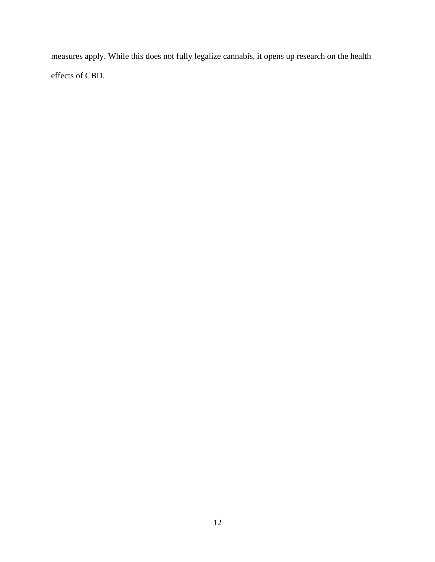measures apply. While this does not fully legalize cannabis, it opens up research on the health effects of CBD.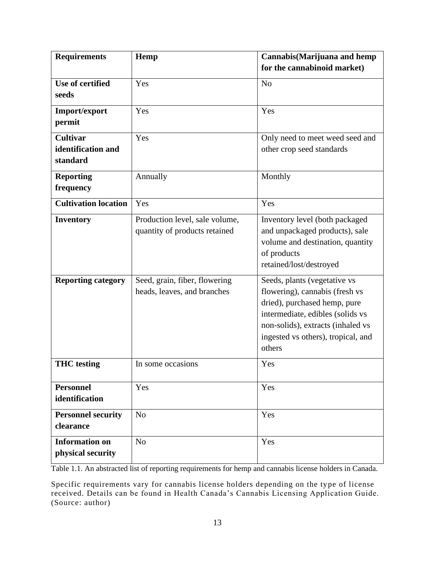| <b>Requirements</b>         | Hemp                           | Cannabis(Marijuana and hemp                     |
|-----------------------------|--------------------------------|-------------------------------------------------|
|                             |                                | for the cannabinoid market)                     |
| Use of certified            | Yes                            | N <sub>o</sub>                                  |
| seeds                       |                                |                                                 |
| Import/export               | Yes                            | Yes                                             |
| permit                      |                                |                                                 |
| <b>Cultivar</b>             | Yes                            | Only need to meet weed seed and                 |
| identification and          |                                | other crop seed standards                       |
| standard                    |                                |                                                 |
| <b>Reporting</b>            | Annually                       | Monthly                                         |
| frequency                   |                                |                                                 |
| <b>Cultivation location</b> | Yes                            | Yes                                             |
| <b>Inventory</b>            | Production level, sale volume, | Inventory level (both packaged                  |
|                             | quantity of products retained  | and unpackaged products), sale                  |
|                             |                                | volume and destination, quantity<br>of products |
|                             |                                | retained/lost/destroyed                         |
| <b>Reporting category</b>   | Seed, grain, fiber, flowering  | Seeds, plants (vegetative vs                    |
|                             | heads, leaves, and branches    | flowering), cannabis (fresh vs                  |
|                             |                                | dried), purchased hemp, pure                    |
|                             |                                | intermediate, edibles (solids vs                |
|                             |                                | non-solids), extracts (inhaled vs               |
|                             |                                | ingested vs others), tropical, and              |
|                             |                                | others                                          |
| <b>THC</b> testing          | In some occasions              | Yes                                             |
| <b>Personnel</b>            | Yes                            | Yes                                             |
| identification              |                                |                                                 |
| <b>Personnel security</b>   | N <sub>o</sub>                 | Yes                                             |
| clearance                   |                                |                                                 |
| <b>Information on</b>       | N <sub>o</sub>                 | Yes                                             |
| physical security           |                                |                                                 |

<span id="page-22-0"></span>Table 1.1. An abstracted list of reporting requirements for hemp and cannabis license holders in Canada.

Specific requirements vary for cannabis license holders depending on the type of license received. Details can be found in Health Canada's Cannabis Licensing Application Guide. (Source: author)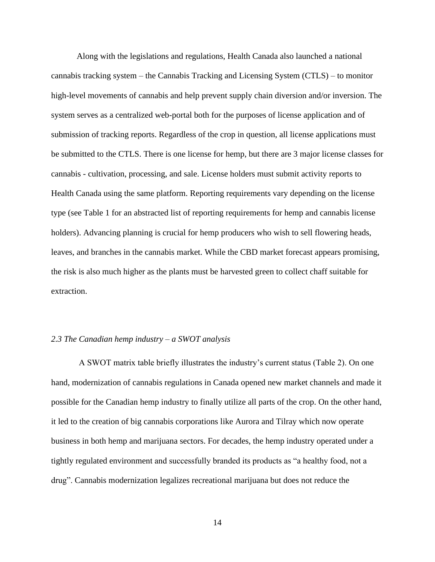Along with the legislations and regulations, Health Canada also launched a national cannabis tracking system – the Cannabis Tracking and Licensing System (CTLS) – to monitor high-level movements of cannabis and help prevent supply chain diversion and/or inversion. The system serves as a centralized web-portal both for the purposes of license application and of submission of tracking reports. Regardless of the crop in question, all license applications must be submitted to the CTLS. There is one license for hemp, but there are 3 major license classes for cannabis - cultivation, processing, and sale. License holders must submit activity reports to Health Canada using the same platform. Reporting requirements vary depending on the license type (see Table 1 for an abstracted list of reporting requirements for hemp and cannabis license holders). Advancing planning is crucial for hemp producers who wish to sell flowering heads, leaves, and branches in the cannabis market. While the CBD market forecast appears promising, the risk is also much higher as the plants must be harvested green to collect chaff suitable for extraction.

#### <span id="page-23-0"></span>*2.3 The Canadian hemp industry – a SWOT analysis*

A SWOT matrix table briefly illustrates the industry's current status (Table 2). On one hand, modernization of cannabis regulations in Canada opened new market channels and made it possible for the Canadian hemp industry to finally utilize all parts of the crop. On the other hand, it led to the creation of big cannabis corporations like Aurora and Tilray which now operate business in both hemp and marijuana sectors. For decades, the hemp industry operated under a tightly regulated environment and successfully branded its products as "a healthy food, not a drug". Cannabis modernization legalizes recreational marijuana but does not reduce the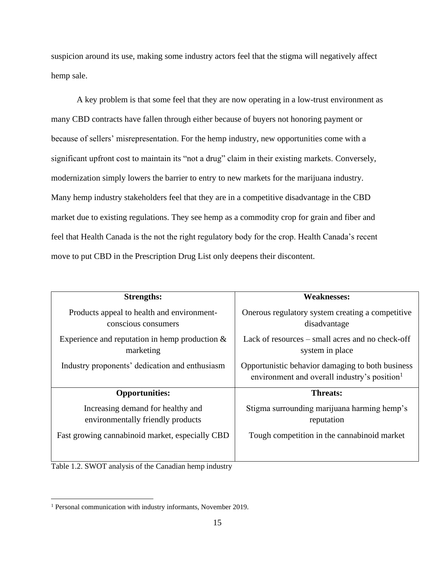suspicion around its use, making some industry actors feel that the stigma will negatively affect hemp sale.

A key problem is that some feel that they are now operating in a low-trust environment as many CBD contracts have fallen through either because of buyers not honoring payment or because of sellers' misrepresentation. For the hemp industry, new opportunities come with a significant upfront cost to maintain its "not a drug" claim in their existing markets. Conversely, modernization simply lowers the barrier to entry to new markets for the marijuana industry. Many hemp industry stakeholders feel that they are in a competitive disadvantage in the CBD market due to existing regulations. They see hemp as a commodity crop for grain and fiber and feel that Health Canada is the not the right regulatory body for the crop. Health Canada's recent move to put CBD in the Prescription Drug List only deepens their discontent.

| <b>Strengths:</b>                                                      | <b>Weaknesses:</b>                                                                                           |
|------------------------------------------------------------------------|--------------------------------------------------------------------------------------------------------------|
| Products appeal to health and environment-<br>conscious consumers      | Onerous regulatory system creating a competitive<br>disadvantage                                             |
| Experience and reputation in hemp production $\&$<br>marketing         | Lack of resources – small acres and no check-off<br>system in place                                          |
| Industry proponents' dedication and enthusiasm                         | Opportunistic behavior damaging to both business<br>environment and overall industry's position <sup>1</sup> |
| <b>Opportunities:</b>                                                  | <b>Threats:</b>                                                                                              |
| Increasing demand for healthy and<br>environmentally friendly products | Stigma surrounding marijuana harming hemp's<br>reputation                                                    |
| Fast growing cannabinoid market, especially CBD                        | Tough competition in the cannabinoid market                                                                  |

<span id="page-24-0"></span>Table 1.2. SWOT analysis of the Canadian hemp industry

<sup>&</sup>lt;sup>1</sup> Personal communication with industry informants, November 2019.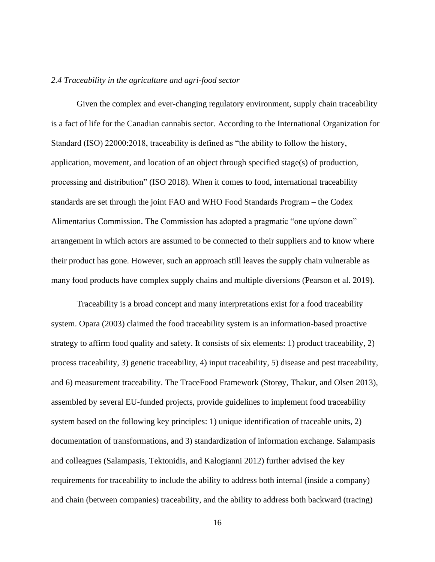#### <span id="page-25-0"></span>*2.4 Traceability in the agriculture and agri-food sector*

Given the complex and ever-changing regulatory environment, supply chain traceability is a fact of life for the Canadian cannabis sector. According to the International Organization for Standard (ISO) 22000:2018, traceability is defined as "the ability to follow the history, application, movement, and location of an object through specified stage(s) of production, processing and distribution" (ISO 2018). When it comes to food, international traceability standards are set through the joint FAO and WHO Food Standards Program – the Codex Alimentarius Commission. The Commission has adopted a pragmatic "one up/one down" arrangement in which actors are assumed to be connected to their suppliers and to know where their product has gone. However, such an approach still leaves the supply chain vulnerable as many food products have complex supply chains and multiple diversions (Pearson et al. 2019).

Traceability is a broad concept and many interpretations exist for a food traceability system. Opara (2003) claimed the food traceability system is an information-based proactive strategy to affirm food quality and safety. It consists of six elements: 1) product traceability, 2) process traceability, 3) genetic traceability, 4) input traceability, 5) disease and pest traceability, and 6) measurement traceability. The TraceFood Framework (Storøy, Thakur, and Olsen 2013), assembled by several EU-funded projects, provide guidelines to implement food traceability system based on the following key principles: 1) unique identification of traceable units, 2) documentation of transformations, and 3) standardization of information exchange. Salampasis and colleagues (Salampasis, Tektonidis, and Kalogianni 2012) further advised the key requirements for traceability to include the ability to address both internal (inside a company) and chain (between companies) traceability, and the ability to address both backward (tracing)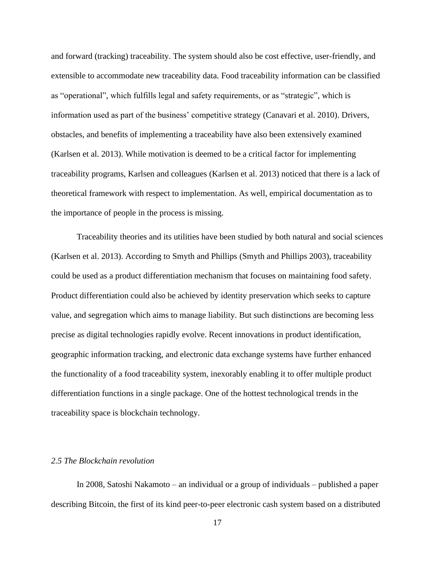and forward (tracking) traceability. The system should also be cost effective, user-friendly, and extensible to accommodate new traceability data. Food traceability information can be classified as "operational", which fulfills legal and safety requirements, or as "strategic", which is information used as part of the business' competitive strategy (Canavari et al. 2010). Drivers, obstacles, and benefits of implementing a traceability have also been extensively examined (Karlsen et al. 2013). While motivation is deemed to be a critical factor for implementing traceability programs, Karlsen and colleagues (Karlsen et al. 2013) noticed that there is a lack of theoretical framework with respect to implementation. As well, empirical documentation as to the importance of people in the process is missing.

Traceability theories and its utilities have been studied by both natural and social sciences (Karlsen et al. 2013). According to Smyth and Phillips (Smyth and Phillips 2003), traceability could be used as a product differentiation mechanism that focuses on maintaining food safety. Product differentiation could also be achieved by identity preservation which seeks to capture value, and segregation which aims to manage liability. But such distinctions are becoming less precise as digital technologies rapidly evolve. Recent innovations in product identification, geographic information tracking, and electronic data exchange systems have further enhanced the functionality of a food traceability system, inexorably enabling it to offer multiple product differentiation functions in a single package. One of the hottest technological trends in the traceability space is blockchain technology.

#### <span id="page-26-0"></span>*2.5 The Blockchain revolution*

In 2008, Satoshi Nakamoto – an individual or a group of individuals – published a paper describing Bitcoin, the first of its kind peer-to-peer electronic cash system based on a distributed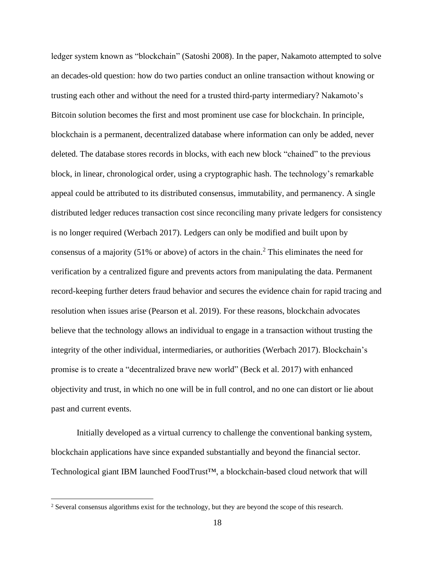ledger system known as "blockchain" (Satoshi 2008). In the paper, Nakamoto attempted to solve an decades-old question: how do two parties conduct an online transaction without knowing or trusting each other and without the need for a trusted third-party intermediary? Nakamoto's Bitcoin solution becomes the first and most prominent use case for blockchain. In principle, blockchain is a permanent, decentralized database where information can only be added, never deleted. The database stores records in blocks, with each new block "chained" to the previous block, in linear, chronological order, using a cryptographic hash. The technology's remarkable appeal could be attributed to its distributed consensus, immutability, and permanency. A single distributed ledger reduces transaction cost since reconciling many private ledgers for consistency is no longer required (Werbach 2017). Ledgers can only be modified and built upon by consensus of a majority (51% or above) of actors in the chain. <sup>2</sup> This eliminates the need for verification by a centralized figure and prevents actors from manipulating the data. Permanent record-keeping further deters fraud behavior and secures the evidence chain for rapid tracing and resolution when issues arise (Pearson et al. 2019). For these reasons, blockchain advocates believe that the technology allows an individual to engage in a transaction without trusting the integrity of the other individual, intermediaries, or authorities (Werbach 2017). Blockchain's promise is to create a "decentralized brave new world" (Beck et al. 2017) with enhanced objectivity and trust, in which no one will be in full control, and no one can distort or lie about past and current events.

Initially developed as a virtual currency to challenge the conventional banking system, blockchain applications have since expanded substantially and beyond the financial sector. Technological giant IBM launched FoodTrust™, a blockchain-based cloud network that will

<sup>2</sup> Several consensus algorithms exist for the technology, but they are beyond the scope of this research.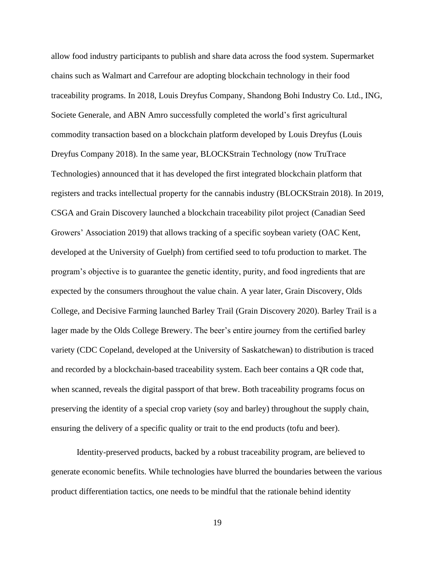allow food industry participants to publish and share data across the food system. Supermarket chains such as Walmart and Carrefour are adopting blockchain technology in their food traceability programs. In 2018, Louis Dreyfus Company, Shandong Bohi Industry Co. Ltd., ING, Societe Generale, and ABN Amro successfully completed the world's first agricultural commodity transaction based on a blockchain platform developed by Louis Dreyfus (Louis Dreyfus Company 2018). In the same year, BLOCKStrain Technology (now TruTrace Technologies) announced that it has developed the first integrated blockchain platform that registers and tracks intellectual property for the cannabis industry (BLOCKStrain 2018). In 2019, CSGA and Grain Discovery launched a blockchain traceability pilot project (Canadian Seed Growers' Association 2019) that allows tracking of a specific soybean variety (OAC Kent, developed at the University of Guelph) from certified seed to tofu production to market. The program's objective is to guarantee the genetic identity, purity, and food ingredients that are expected by the consumers throughout the value chain. A year later, Grain Discovery, Olds College, and Decisive Farming launched Barley Trail (Grain Discovery 2020). Barley Trail is a lager made by the Olds College Brewery. The beer's entire journey from the certified barley variety (CDC Copeland, developed at the University of Saskatchewan) to distribution is traced and recorded by a blockchain-based traceability system. Each beer contains a QR code that, when scanned, reveals the digital passport of that brew. Both traceability programs focus on preserving the identity of a special crop variety (soy and barley) throughout the supply chain, ensuring the delivery of a specific quality or trait to the end products (tofu and beer).

Identity-preserved products, backed by a robust traceability program, are believed to generate economic benefits. While technologies have blurred the boundaries between the various product differentiation tactics, one needs to be mindful that the rationale behind identity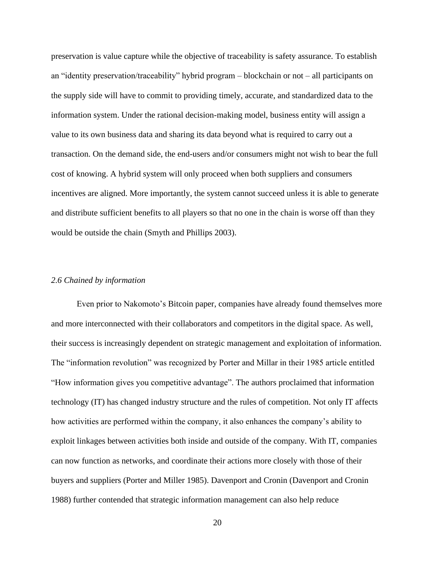preservation is value capture while the objective of traceability is safety assurance. To establish an "identity preservation/traceability" hybrid program – blockchain or not – all participants on the supply side will have to commit to providing timely, accurate, and standardized data to the information system. Under the rational decision-making model, business entity will assign a value to its own business data and sharing its data beyond what is required to carry out a transaction. On the demand side, the end-users and/or consumers might not wish to bear the full cost of knowing. A hybrid system will only proceed when both suppliers and consumers incentives are aligned. More importantly, the system cannot succeed unless it is able to generate and distribute sufficient benefits to all players so that no one in the chain is worse off than they would be outside the chain (Smyth and Phillips 2003).

## <span id="page-29-0"></span>*2.6 Chained by information*

Even prior to Nakomoto's Bitcoin paper, companies have already found themselves more and more interconnected with their collaborators and competitors in the digital space. As well, their success is increasingly dependent on strategic management and exploitation of information. The "information revolution" was recognized by Porter and Millar in their 1985 article entitled "How information gives you competitive advantage". The authors proclaimed that information technology (IT) has changed industry structure and the rules of competition. Not only IT affects how activities are performed within the company, it also enhances the company's ability to exploit linkages between activities both inside and outside of the company. With IT, companies can now function as networks, and coordinate their actions more closely with those of their buyers and suppliers (Porter and Miller 1985). Davenport and Cronin (Davenport and Cronin 1988) further contended that strategic information management can also help reduce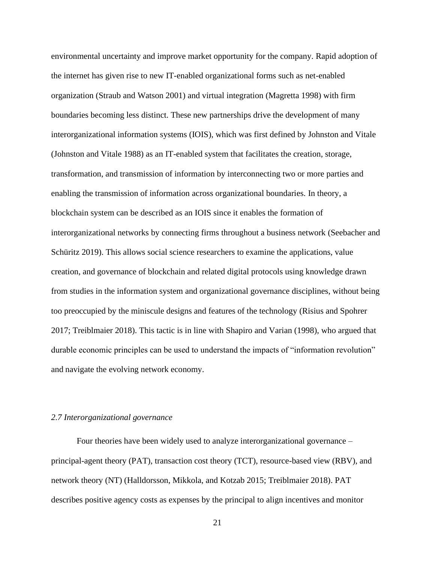environmental uncertainty and improve market opportunity for the company. Rapid adoption of the internet has given rise to new IT-enabled organizational forms such as net-enabled organization (Straub and Watson 2001) and virtual integration (Magretta 1998) with firm boundaries becoming less distinct. These new partnerships drive the development of many interorganizational information systems (IOIS), which was first defined by Johnston and Vitale (Johnston and Vitale 1988) as an IT-enabled system that facilitates the creation, storage, transformation, and transmission of information by interconnecting two or more parties and enabling the transmission of information across organizational boundaries. In theory, a blockchain system can be described as an IOIS since it enables the formation of interorganizational networks by connecting firms throughout a business network (Seebacher and Schüritz 2019). This allows social science researchers to examine the applications, value creation, and governance of blockchain and related digital protocols using knowledge drawn from studies in the information system and organizational governance disciplines, without being too preoccupied by the miniscule designs and features of the technology (Risius and Spohrer 2017; Treiblmaier 2018). This tactic is in line with Shapiro and Varian (1998), who argued that durable economic principles can be used to understand the impacts of "information revolution" and navigate the evolving network economy.

# <span id="page-30-0"></span>*2.7 Interorganizational governance*

Four theories have been widely used to analyze interorganizational governance – principal-agent theory (PAT), transaction cost theory (TCT), resource-based view (RBV), and network theory (NT) (Halldorsson, Mikkola, and Kotzab 2015; Treiblmaier 2018). PAT describes positive agency costs as expenses by the principal to align incentives and monitor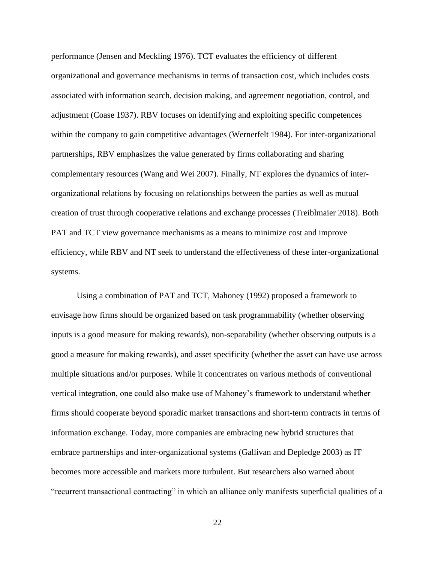performance (Jensen and Meckling 1976). TCT evaluates the efficiency of different organizational and governance mechanisms in terms of transaction cost, which includes costs associated with information search, decision making, and agreement negotiation, control, and adjustment (Coase 1937). RBV focuses on identifying and exploiting specific competences within the company to gain competitive advantages (Wernerfelt 1984). For inter-organizational partnerships, RBV emphasizes the value generated by firms collaborating and sharing complementary resources (Wang and Wei 2007). Finally, NT explores the dynamics of interorganizational relations by focusing on relationships between the parties as well as mutual creation of trust through cooperative relations and exchange processes (Treiblmaier 2018). Both PAT and TCT view governance mechanisms as a means to minimize cost and improve efficiency, while RBV and NT seek to understand the effectiveness of these inter-organizational systems.

Using a combination of PAT and TCT, Mahoney (1992) proposed a framework to envisage how firms should be organized based on task programmability (whether observing inputs is a good measure for making rewards), non-separability (whether observing outputs is a good a measure for making rewards), and asset specificity (whether the asset can have use across multiple situations and/or purposes. While it concentrates on various methods of conventional vertical integration, one could also make use of Mahoney's framework to understand whether firms should cooperate beyond sporadic market transactions and short-term contracts in terms of information exchange. Today, more companies are embracing new hybrid structures that embrace partnerships and inter-organizational systems (Gallivan and Depledge 2003) as IT becomes more accessible and markets more turbulent. But researchers also warned about "recurrent transactional contracting" in which an alliance only manifests superficial qualities of a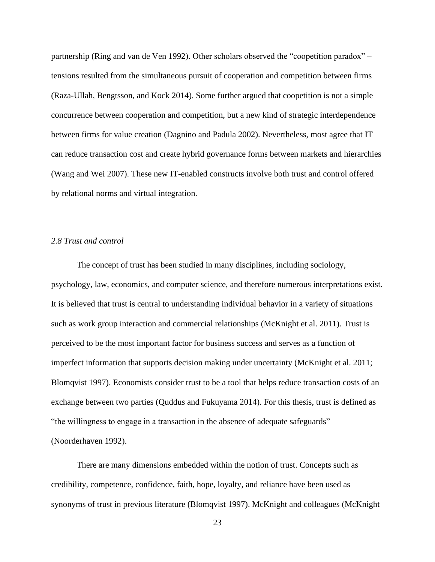partnership (Ring and van de Ven 1992). Other scholars observed the "coopetition paradox" – tensions resulted from the simultaneous pursuit of cooperation and competition between firms (Raza-Ullah, Bengtsson, and Kock 2014). Some further argued that coopetition is not a simple concurrence between cooperation and competition, but a new kind of strategic interdependence between firms for value creation (Dagnino and Padula 2002). Nevertheless, most agree that IT can reduce transaction cost and create hybrid governance forms between markets and hierarchies (Wang and Wei 2007). These new IT-enabled constructs involve both trust and control offered by relational norms and virtual integration.

#### <span id="page-32-0"></span>*2.8 Trust and control*

The concept of trust has been studied in many disciplines, including sociology, psychology, law, economics, and computer science, and therefore numerous interpretations exist. It is believed that trust is central to understanding individual behavior in a variety of situations such as work group interaction and commercial relationships (McKnight et al. 2011). Trust is perceived to be the most important factor for business success and serves as a function of imperfect information that supports decision making under uncertainty (McKnight et al. 2011; Blomqvist 1997). Economists consider trust to be a tool that helps reduce transaction costs of an exchange between two parties (Quddus and Fukuyama 2014). For this thesis, trust is defined as "the willingness to engage in a transaction in the absence of adequate safeguards" (Noorderhaven 1992).

There are many dimensions embedded within the notion of trust. Concepts such as credibility, competence, confidence, faith, hope, loyalty, and reliance have been used as synonyms of trust in previous literature (Blomqvist 1997). McKnight and colleagues (McKnight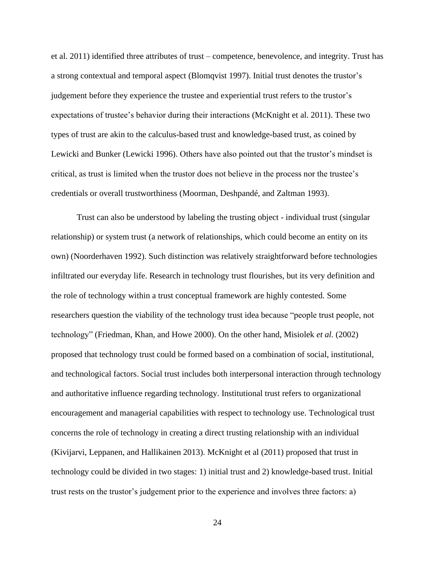et al. 2011) identified three attributes of trust – competence, benevolence, and integrity. Trust has a strong contextual and temporal aspect (Blomqvist 1997). Initial trust denotes the trustor's judgement before they experience the trustee and experiential trust refers to the trustor's expectations of trustee's behavior during their interactions (McKnight et al. 2011). These two types of trust are akin to the calculus-based trust and knowledge-based trust, as coined by Lewicki and Bunker (Lewicki 1996). Others have also pointed out that the trustor's mindset is critical, as trust is limited when the trustor does not believe in the process nor the trustee's credentials or overall trustworthiness (Moorman, Deshpandé, and Zaltman 1993).

Trust can also be understood by labeling the trusting object - individual trust (singular relationship) or system trust (a network of relationships, which could become an entity on its own) (Noorderhaven 1992). Such distinction was relatively straightforward before technologies infiltrated our everyday life. Research in technology trust flourishes, but its very definition and the role of technology within a trust conceptual framework are highly contested. Some researchers question the viability of the technology trust idea because "people trust people, not technology" (Friedman, Khan, and Howe 2000). On the other hand, Misiolek *et al.* (2002) proposed that technology trust could be formed based on a combination of social, institutional, and technological factors. Social trust includes both interpersonal interaction through technology and authoritative influence regarding technology. Institutional trust refers to organizational encouragement and managerial capabilities with respect to technology use. Technological trust concerns the role of technology in creating a direct trusting relationship with an individual (Kivijarvi, Leppanen, and Hallikainen 2013). McKnight et al (2011) proposed that trust in technology could be divided in two stages: 1) initial trust and 2) knowledge-based trust. Initial trust rests on the trustor's judgement prior to the experience and involves three factors: a)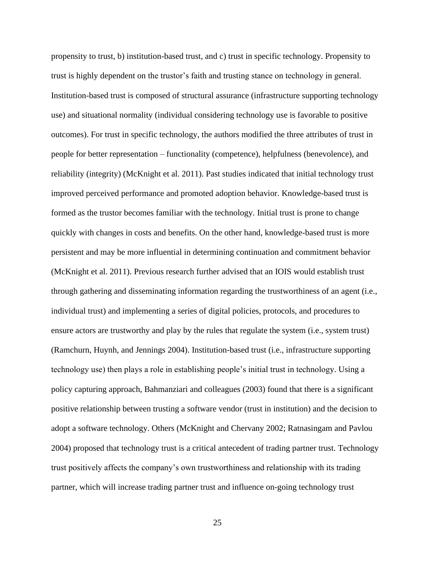propensity to trust, b) institution-based trust, and c) trust in specific technology. Propensity to trust is highly dependent on the trustor's faith and trusting stance on technology in general. Institution-based trust is composed of structural assurance (infrastructure supporting technology use) and situational normality (individual considering technology use is favorable to positive outcomes). For trust in specific technology, the authors modified the three attributes of trust in people for better representation – functionality (competence), helpfulness (benevolence), and reliability (integrity) (McKnight et al. 2011). Past studies indicated that initial technology trust improved perceived performance and promoted adoption behavior. Knowledge-based trust is formed as the trustor becomes familiar with the technology. Initial trust is prone to change quickly with changes in costs and benefits. On the other hand, knowledge-based trust is more persistent and may be more influential in determining continuation and commitment behavior (McKnight et al. 2011). Previous research further advised that an IOIS would establish trust through gathering and disseminating information regarding the trustworthiness of an agent (i.e., individual trust) and implementing a series of digital policies, protocols, and procedures to ensure actors are trustworthy and play by the rules that regulate the system (i.e., system trust) (Ramchurn, Huynh, and Jennings 2004). Institution-based trust (i.e., infrastructure supporting technology use) then plays a role in establishing people's initial trust in technology. Using a policy capturing approach, Bahmanziari and colleagues (2003) found that there is a significant positive relationship between trusting a software vendor (trust in institution) and the decision to adopt a software technology. Others (McKnight and Chervany 2002; Ratnasingam and Pavlou 2004) proposed that technology trust is a critical antecedent of trading partner trust. Technology trust positively affects the company's own trustworthiness and relationship with its trading partner, which will increase trading partner trust and influence on-going technology trust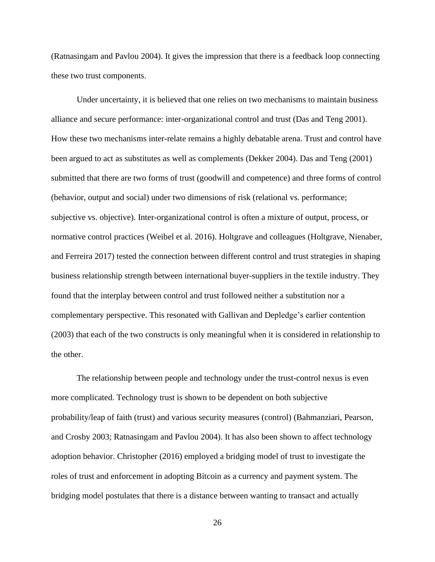(Ratnasingam and Pavlou 2004). It gives the impression that there is a feedback loop connecting these two trust components.

Under uncertainty, it is believed that one relies on two mechanisms to maintain business alliance and secure performance: inter-organizational control and trust (Das and Teng 2001). How these two mechanisms inter-relate remains a highly debatable arena. Trust and control have been argued to act as substitutes as well as complements (Dekker 2004). Das and Teng (2001) submitted that there are two forms of trust (goodwill and competence) and three forms of control (behavior, output and social) under two dimensions of risk (relational vs. performance; subjective vs. objective). Inter-organizational control is often a mixture of output, process, or normative control practices (Weibel et al. 2016). Holtgrave and colleagues (Holtgrave, Nienaber, and Ferreira 2017) tested the connection between different control and trust strategies in shaping business relationship strength between international buyer-suppliers in the textile industry. They found that the interplay between control and trust followed neither a substitution nor a complementary perspective. This resonated with Gallivan and Depledge's earlier contention (2003) that each of the two constructs is only meaningful when it is considered in relationship to the other.

The relationship between people and technology under the trust-control nexus is even more complicated. Technology trust is shown to be dependent on both subjective probability/leap of faith (trust) and various security measures (control) (Bahmanziari, Pearson, and Crosby 2003; Ratnasingam and Pavlou 2004). It has also been shown to affect technology adoption behavior. Christopher (2016) employed a bridging model of trust to investigate the roles of trust and enforcement in adopting Bitcoin as a currency and payment system. The bridging model postulates that there is a distance between wanting to transact and actually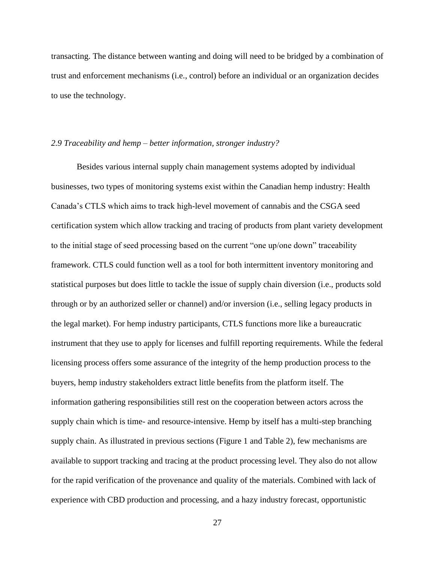transacting. The distance between wanting and doing will need to be bridged by a combination of trust and enforcement mechanisms (i.e., control) before an individual or an organization decides to use the technology.

## *2.9 Traceability and hemp – better information, stronger industry?*

Besides various internal supply chain management systems adopted by individual businesses, two types of monitoring systems exist within the Canadian hemp industry: Health Canada's CTLS which aims to track high-level movement of cannabis and the CSGA seed certification system which allow tracking and tracing of products from plant variety development to the initial stage of seed processing based on the current "one up/one down" traceability framework. CTLS could function well as a tool for both intermittent inventory monitoring and statistical purposes but does little to tackle the issue of supply chain diversion (i.e., products sold through or by an authorized seller or channel) and/or inversion (i.e., selling legacy products in the legal market). For hemp industry participants, CTLS functions more like a bureaucratic instrument that they use to apply for licenses and fulfill reporting requirements. While the federal licensing process offers some assurance of the integrity of the hemp production process to the buyers, hemp industry stakeholders extract little benefits from the platform itself. The information gathering responsibilities still rest on the cooperation between actors across the supply chain which is time- and resource-intensive. Hemp by itself has a multi-step branching supply chain. As illustrated in previous sections (Figure 1 and Table 2), few mechanisms are available to support tracking and tracing at the product processing level. They also do not allow for the rapid verification of the provenance and quality of the materials. Combined with lack of experience with CBD production and processing, and a hazy industry forecast, opportunistic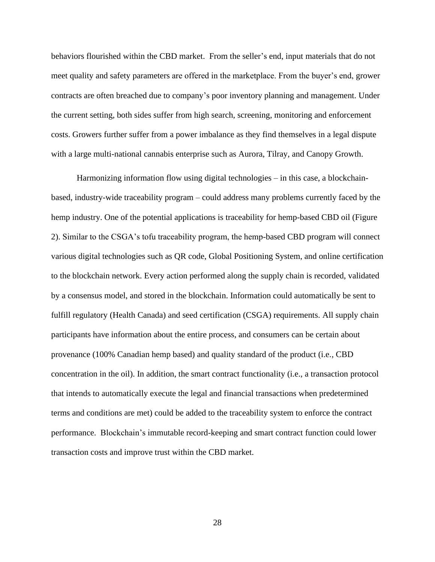behaviors flourished within the CBD market. From the seller's end, input materials that do not meet quality and safety parameters are offered in the marketplace. From the buyer's end, grower contracts are often breached due to company's poor inventory planning and management. Under the current setting, both sides suffer from high search, screening, monitoring and enforcement costs. Growers further suffer from a power imbalance as they find themselves in a legal dispute with a large multi-national cannabis enterprise such as Aurora, Tilray, and Canopy Growth.

Harmonizing information flow using digital technologies – in this case, a blockchainbased, industry-wide traceability program – could address many problems currently faced by the hemp industry. One of the potential applications is traceability for hemp-based CBD oil (Figure 2). Similar to the CSGA's tofu traceability program, the hemp-based CBD program will connect various digital technologies such as QR code, Global Positioning System, and online certification to the blockchain network. Every action performed along the supply chain is recorded, validated by a consensus model, and stored in the blockchain. Information could automatically be sent to fulfill regulatory (Health Canada) and seed certification (CSGA) requirements. All supply chain participants have information about the entire process, and consumers can be certain about provenance (100% Canadian hemp based) and quality standard of the product (i.e., CBD concentration in the oil). In addition, the smart contract functionality (i.e., a transaction protocol that intends to automatically execute the legal and financial transactions when predetermined terms and conditions are met) could be added to the traceability system to enforce the contract performance. Blockchain's immutable record-keeping and smart contract function could lower transaction costs and improve trust within the CBD market.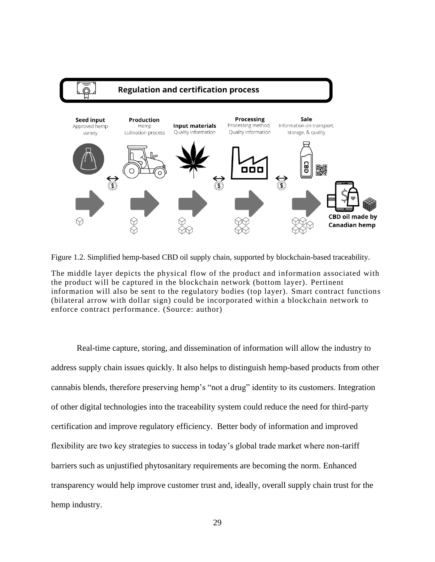

Figure 1.2. Simplified hemp-based CBD oil supply chain, supported by blockchain-based traceability.

The middle layer depicts the physical flow of the product and information associated with the product will be captured in the blockchain network (bottom layer). Pertinent information will also be sent to the regulatory bodies (top layer). Smart contract functions (bilateral arrow with dollar sign) could be incorporated within a blockchain network to enforce contract performance. (Source: author)

Real-time capture, storing, and dissemination of information will allow the industry to address supply chain issues quickly. It also helps to distinguish hemp-based products from other cannabis blends, therefore preserving hemp's "not a drug" identity to its customers. Integration of other digital technologies into the traceability system could reduce the need for third-party certification and improve regulatory efficiency. Better body of information and improved flexibility are two key strategies to success in today's global trade market where non-tariff barriers such as unjustified phytosanitary requirements are becoming the norm. Enhanced transparency would help improve customer trust and, ideally, overall supply chain trust for the hemp industry.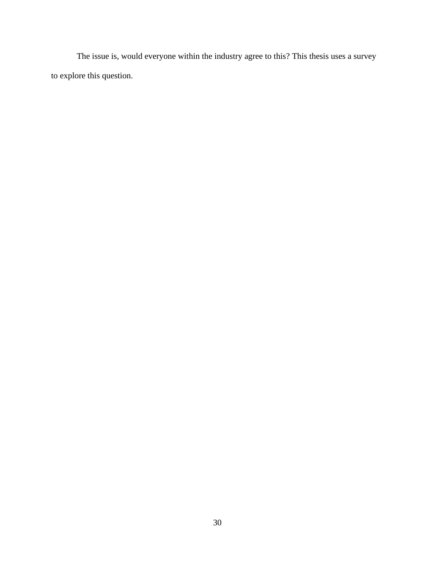The issue is, would everyone within the industry agree to this? This thesis uses a survey to explore this question.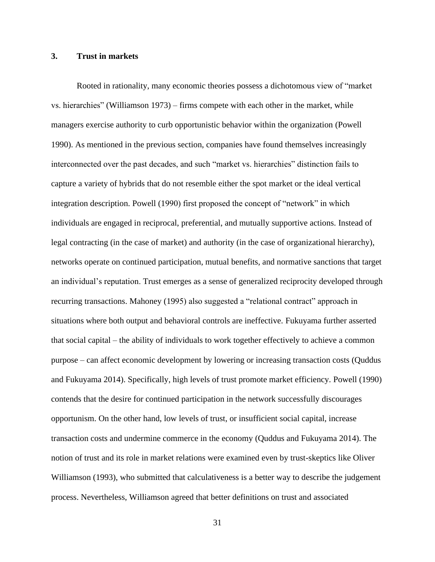# **3. Trust in markets**

Rooted in rationality, many economic theories possess a dichotomous view of "market vs. hierarchies" (Williamson 1973) – firms compete with each other in the market, while managers exercise authority to curb opportunistic behavior within the organization (Powell 1990). As mentioned in the previous section, companies have found themselves increasingly interconnected over the past decades, and such "market vs. hierarchies" distinction fails to capture a variety of hybrids that do not resemble either the spot market or the ideal vertical integration description. Powell (1990) first proposed the concept of "network" in which individuals are engaged in reciprocal, preferential, and mutually supportive actions. Instead of legal contracting (in the case of market) and authority (in the case of organizational hierarchy), networks operate on continued participation, mutual benefits, and normative sanctions that target an individual's reputation. Trust emerges as a sense of generalized reciprocity developed through recurring transactions. Mahoney (1995) also suggested a "relational contract" approach in situations where both output and behavioral controls are ineffective. Fukuyama further asserted that social capital – the ability of individuals to work together effectively to achieve a common purpose – can affect economic development by lowering or increasing transaction costs (Quddus and Fukuyama 2014). Specifically, high levels of trust promote market efficiency. Powell (1990) contends that the desire for continued participation in the network successfully discourages opportunism. On the other hand, low levels of trust, or insufficient social capital, increase transaction costs and undermine commerce in the economy (Quddus and Fukuyama 2014). The notion of trust and its role in market relations were examined even by trust-skeptics like Oliver Williamson (1993), who submitted that calculativeness is a better way to describe the judgement process. Nevertheless, Williamson agreed that better definitions on trust and associated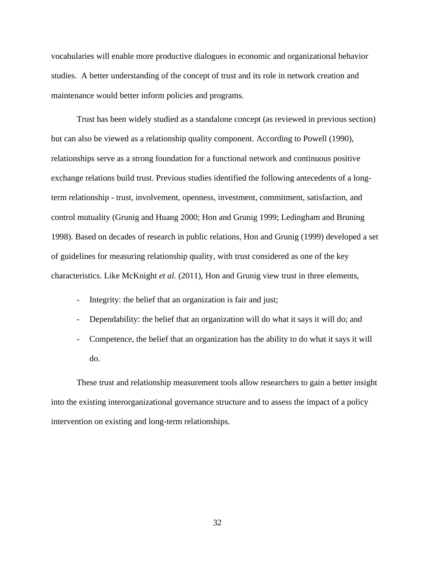vocabularies will enable more productive dialogues in economic and organizational behavior studies. A better understanding of the concept of trust and its role in network creation and maintenance would better inform policies and programs.

Trust has been widely studied as a standalone concept (as reviewed in previous section) but can also be viewed as a relationship quality component. According to Powell (1990), relationships serve as a strong foundation for a functional network and continuous positive exchange relations build trust. Previous studies identified the following antecedents of a longterm relationship - trust, involvement, openness, investment, commitment, satisfaction, and control mutuality (Grunig and Huang 2000; Hon and Grunig 1999; Ledingham and Bruning 1998). Based on decades of research in public relations, Hon and Grunig (1999) developed a set of guidelines for measuring relationship quality, with trust considered as one of the key characteristics. Like McKnight *et al.* (2011), Hon and Grunig view trust in three elements,

- Integrity: the belief that an organization is fair and just;
- Dependability: the belief that an organization will do what it says it will do; and
- Competence, the belief that an organization has the ability to do what it says it will do.

These trust and relationship measurement tools allow researchers to gain a better insight into the existing interorganizational governance structure and to assess the impact of a policy intervention on existing and long-term relationships.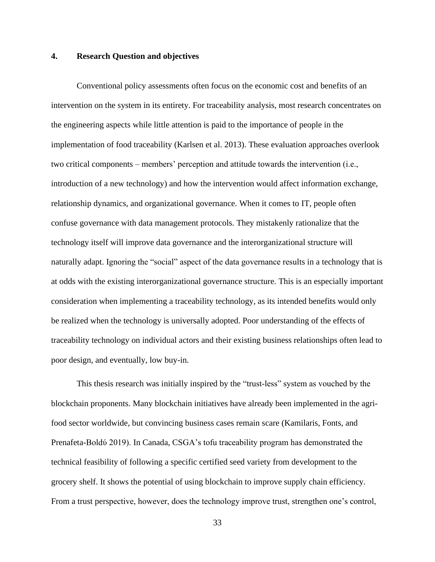# **4. Research Question and objectives**

Conventional policy assessments often focus on the economic cost and benefits of an intervention on the system in its entirety. For traceability analysis, most research concentrates on the engineering aspects while little attention is paid to the importance of people in the implementation of food traceability (Karlsen et al. 2013). These evaluation approaches overlook two critical components – members' perception and attitude towards the intervention (i.e., introduction of a new technology) and how the intervention would affect information exchange, relationship dynamics, and organizational governance. When it comes to IT, people often confuse governance with data management protocols. They mistakenly rationalize that the technology itself will improve data governance and the interorganizational structure will naturally adapt. Ignoring the "social" aspect of the data governance results in a technology that is at odds with the existing interorganizational governance structure. This is an especially important consideration when implementing a traceability technology, as its intended benefits would only be realized when the technology is universally adopted. Poor understanding of the effects of traceability technology on individual actors and their existing business relationships often lead to poor design, and eventually, low buy-in.

This thesis research was initially inspired by the "trust-less" system as vouched by the blockchain proponents. Many blockchain initiatives have already been implemented in the agrifood sector worldwide, but convincing business cases remain scare (Kamilaris, Fonts, and Prenafeta-Boldύ 2019). In Canada, CSGA's tofu traceability program has demonstrated the technical feasibility of following a specific certified seed variety from development to the grocery shelf. It shows the potential of using blockchain to improve supply chain efficiency. From a trust perspective, however, does the technology improve trust, strengthen one's control,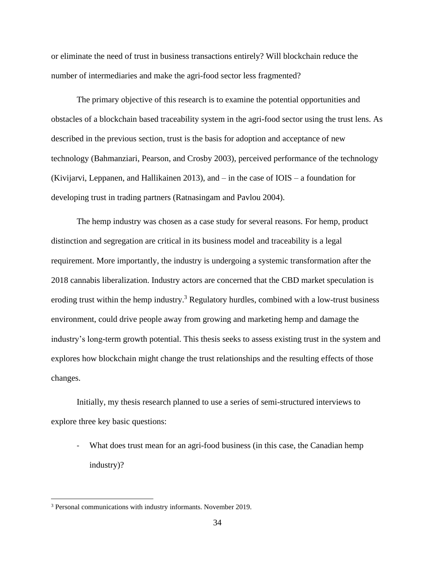or eliminate the need of trust in business transactions entirely? Will blockchain reduce the number of intermediaries and make the agri-food sector less fragmented?

The primary objective of this research is to examine the potential opportunities and obstacles of a blockchain based traceability system in the agri-food sector using the trust lens. As described in the previous section, trust is the basis for adoption and acceptance of new technology (Bahmanziari, Pearson, and Crosby 2003), perceived performance of the technology (Kivijarvi, Leppanen, and Hallikainen 2013), and – in the case of IOIS – a foundation for developing trust in trading partners (Ratnasingam and Pavlou 2004).

The hemp industry was chosen as a case study for several reasons. For hemp, product distinction and segregation are critical in its business model and traceability is a legal requirement. More importantly, the industry is undergoing a systemic transformation after the 2018 cannabis liberalization. Industry actors are concerned that the CBD market speculation is eroding trust within the hemp industry.<sup>3</sup> Regulatory hurdles, combined with a low-trust business environment, could drive people away from growing and marketing hemp and damage the industry's long-term growth potential. This thesis seeks to assess existing trust in the system and explores how blockchain might change the trust relationships and the resulting effects of those changes.

Initially, my thesis research planned to use a series of semi-structured interviews to explore three key basic questions:

- What does trust mean for an agri-food business (in this case, the Canadian hemp industry)?

<sup>3</sup> Personal communications with industry informants. November 2019.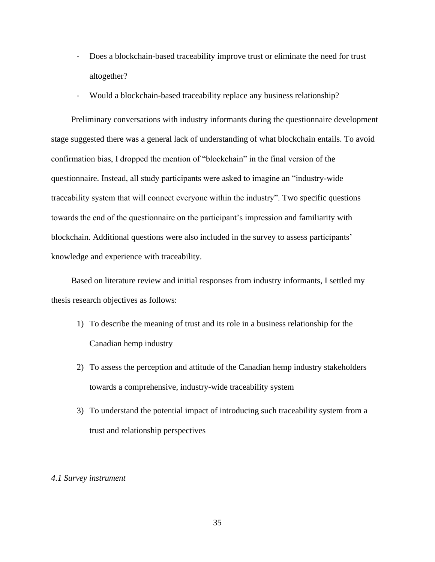- Does a blockchain-based traceability improve trust or eliminate the need for trust altogether?
- Would a blockchain-based traceability replace any business relationship?

Preliminary conversations with industry informants during the questionnaire development stage suggested there was a general lack of understanding of what blockchain entails. To avoid confirmation bias, I dropped the mention of "blockchain" in the final version of the questionnaire. Instead, all study participants were asked to imagine an "industry-wide traceability system that will connect everyone within the industry". Two specific questions towards the end of the questionnaire on the participant's impression and familiarity with blockchain. Additional questions were also included in the survey to assess participants' knowledge and experience with traceability.

Based on literature review and initial responses from industry informants, I settled my thesis research objectives as follows:

- 1) To describe the meaning of trust and its role in a business relationship for the Canadian hemp industry
- 2) To assess the perception and attitude of the Canadian hemp industry stakeholders towards a comprehensive, industry-wide traceability system
- 3) To understand the potential impact of introducing such traceability system from a trust and relationship perspectives

#### *4.1 Survey instrument*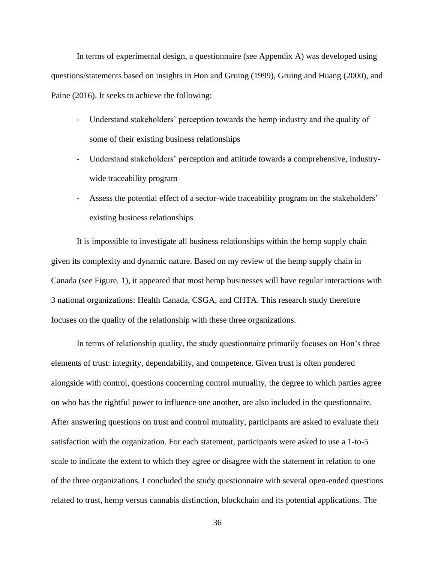In terms of experimental design, a questionnaire (see Appendix A) was developed using questions/statements based on insights in Hon and Gruing (1999), Gruing and Huang (2000), and Paine (2016). It seeks to achieve the following:

- Understand stakeholders' perception towards the hemp industry and the quality of some of their existing business relationships
- Understand stakeholders' perception and attitude towards a comprehensive, industrywide traceability program
- Assess the potential effect of a sector-wide traceability program on the stakeholders' existing business relationships

It is impossible to investigate all business relationships within the hemp supply chain given its complexity and dynamic nature. Based on my review of the hemp supply chain in Canada (see Figure. 1), it appeared that most hemp businesses will have regular interactions with 3 national organizations: Health Canada, CSGA, and CHTA. This research study therefore focuses on the quality of the relationship with these three organizations.

In terms of relationship quality, the study questionnaire primarily focuses on Hon's three elements of trust: integrity, dependability, and competence. Given trust is often pondered alongside with control, questions concerning control mutuality, the degree to which parties agree on who has the rightful power to influence one another, are also included in the questionnaire. After answering questions on trust and control mutuality, participants are asked to evaluate their satisfaction with the organization. For each statement, participants were asked to use a 1-to-5 scale to indicate the extent to which they agree or disagree with the statement in relation to one of the three organizations. I concluded the study questionnaire with several open-ended questions related to trust, hemp versus cannabis distinction, blockchain and its potential applications. The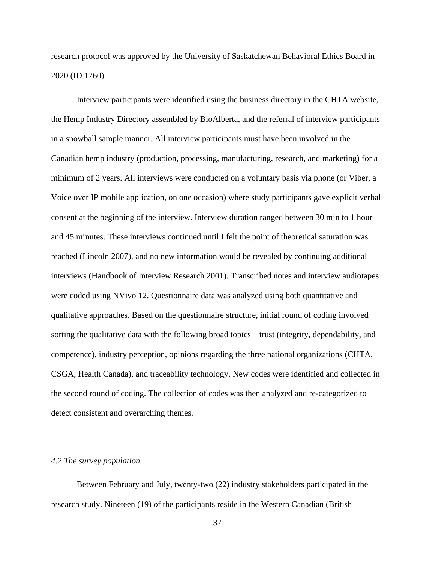research protocol was approved by the University of Saskatchewan Behavioral Ethics Board in 2020 (ID 1760).

Interview participants were identified using the business directory in the CHTA website, the Hemp Industry Directory assembled by BioAlberta, and the referral of interview participants in a snowball sample manner. All interview participants must have been involved in the Canadian hemp industry (production, processing, manufacturing, research, and marketing) for a minimum of 2 years. All interviews were conducted on a voluntary basis via phone (or Viber, a Voice over IP mobile application, on one occasion) where study participants gave explicit verbal consent at the beginning of the interview. Interview duration ranged between 30 min to 1 hour and 45 minutes. These interviews continued until I felt the point of theoretical saturation was reached (Lincoln 2007), and no new information would be revealed by continuing additional interviews (Handbook of Interview Research 2001). Transcribed notes and interview audiotapes were coded using NVivo 12. Questionnaire data was analyzed using both quantitative and qualitative approaches. Based on the questionnaire structure, initial round of coding involved sorting the qualitative data with the following broad topics – trust (integrity, dependability, and competence), industry perception, opinions regarding the three national organizations (CHTA, CSGA, Health Canada), and traceability technology. New codes were identified and collected in the second round of coding. The collection of codes was then analyzed and re-categorized to detect consistent and overarching themes.

# *4.2 The survey population*

Between February and July, twenty-two (22) industry stakeholders participated in the research study. Nineteen (19) of the participants reside in the Western Canadian (British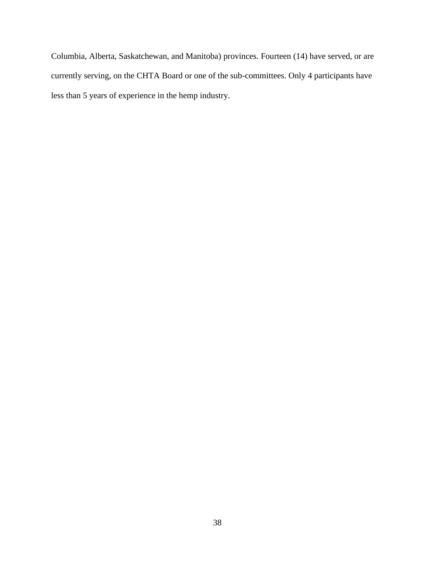Columbia, Alberta, Saskatchewan, and Manitoba) provinces. Fourteen (14) have served, or are currently serving, on the CHTA Board or one of the sub-committees. Only 4 participants have less than 5 years of experience in the hemp industry.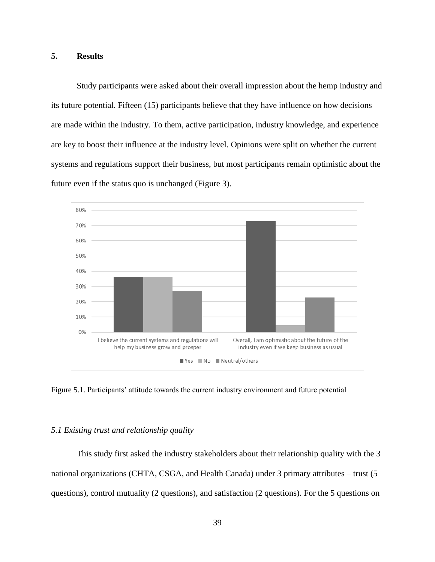# **5. Results**

Study participants were asked about their overall impression about the hemp industry and its future potential. Fifteen (15) participants believe that they have influence on how decisions are made within the industry. To them, active participation, industry knowledge, and experience are key to boost their influence at the industry level. Opinions were split on whether the current systems and regulations support their business, but most participants remain optimistic about the future even if the status quo is unchanged (Figure 3).



Figure 5.1. Participants' attitude towards the current industry environment and future potential

### *5.1 Existing trust and relationship quality*

This study first asked the industry stakeholders about their relationship quality with the 3 national organizations (CHTA, CSGA, and Health Canada) under 3 primary attributes – trust (5 questions), control mutuality (2 questions), and satisfaction (2 questions). For the 5 questions on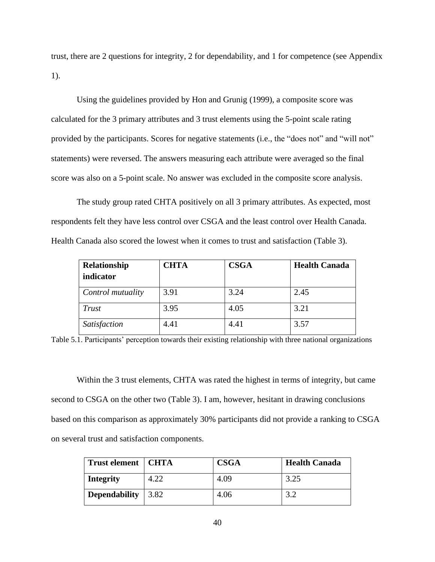trust, there are 2 questions for integrity, 2 for dependability, and 1 for competence (see Appendix 1).

Using the guidelines provided by Hon and Grunig (1999), a composite score was calculated for the 3 primary attributes and 3 trust elements using the 5-point scale rating provided by the participants. Scores for negative statements (i.e., the "does not" and "will not" statements) were reversed. The answers measuring each attribute were averaged so the final score was also on a 5-point scale. No answer was excluded in the composite score analysis.

The study group rated CHTA positively on all 3 primary attributes. As expected, most respondents felt they have less control over CSGA and the least control over Health Canada. Health Canada also scored the lowest when it comes to trust and satisfaction (Table 3).

| Relationship<br>indicator | <b>CHTA</b> | <b>CSGA</b> | <b>Health Canada</b> |
|---------------------------|-------------|-------------|----------------------|
| Control mutuality         | 3.91        | 3.24        | 2.45                 |
| Trust                     | 3.95        | 4.05        | 3.21                 |
| Satisfaction              | 4.41        | 4.41        | 3.57                 |

Table 5.1. Participants' perception towards their existing relationship with three national organizations

Within the 3 trust elements, CHTA was rated the highest in terms of integrity, but came second to CSGA on the other two (Table 3). I am, however, hesitant in drawing conclusions based on this comparison as approximately 30% participants did not provide a ranking to CSGA on several trust and satisfaction components.

| Trust element   CHTA |                    | <b>CSGA</b> | <b>Health Canada</b> |
|----------------------|--------------------|-------------|----------------------|
| <b>Integrity</b>     | 4.22               | 4.09        | 3.25                 |
| <b>Dependability</b> | $\vert 3.82 \vert$ | 4.06        | 3.2                  |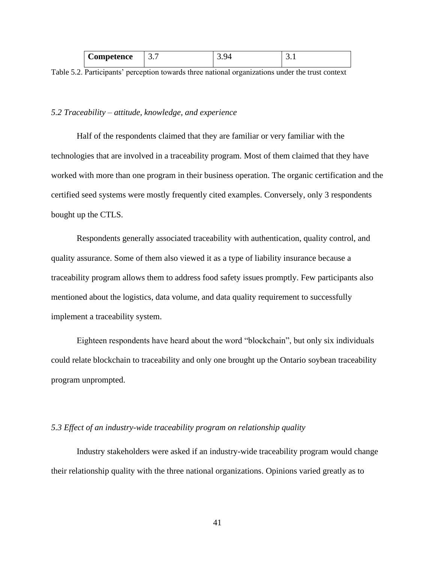| $\sim$<br>Competence<br>- | - | ິ |
|---------------------------|---|---|
|                           |   |   |

Table 5.2. Participants' perception towards three national organizations under the trust context

#### *5.2 Traceability – attitude, knowledge, and experience*

Half of the respondents claimed that they are familiar or very familiar with the technologies that are involved in a traceability program. Most of them claimed that they have worked with more than one program in their business operation. The organic certification and the certified seed systems were mostly frequently cited examples. Conversely, only 3 respondents bought up the CTLS.

Respondents generally associated traceability with authentication, quality control, and quality assurance. Some of them also viewed it as a type of liability insurance because a traceability program allows them to address food safety issues promptly. Few participants also mentioned about the logistics, data volume, and data quality requirement to successfully implement a traceability system.

Eighteen respondents have heard about the word "blockchain", but only six individuals could relate blockchain to traceability and only one brought up the Ontario soybean traceability program unprompted.

# *5.3 Effect of an industry-wide traceability program on relationship quality*

Industry stakeholders were asked if an industry-wide traceability program would change their relationship quality with the three national organizations. Opinions varied greatly as to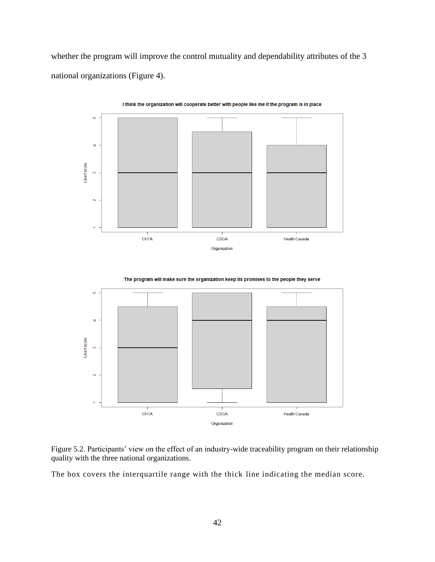whether the program will improve the control mutuality and dependability attributes of the 3 national organizations (Figure 4).



I think the organization will cooperate better with people like me if the program is in place







The box covers the interquartile range with the thick line indicating the median score.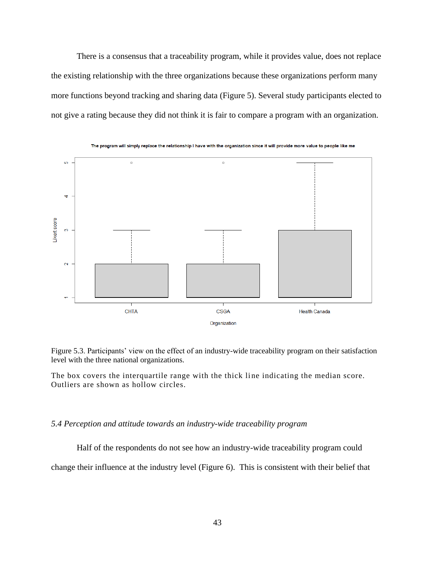There is a consensus that a traceability program, while it provides value, does not replace the existing relationship with the three organizations because these organizations perform many more functions beyond tracking and sharing data (Figure 5). Several study participants elected to not give a rating because they did not think it is fair to compare a program with an organization.



The program will simply replace the relationship I have with the organization since it will provide more value to people like me

Figure 5.3. Participants' view on the effect of an industry-wide traceability program on their satisfaction level with the three national organizations.

The box covers the interquartile range with the thick line indicating the median score. Outliers are shown as hollow circles.

#### *5.4 Perception and attitude towards an industry-wide traceability program*

Half of the respondents do not see how an industry-wide traceability program could

change their influence at the industry level (Figure 6). This is consistent with their belief that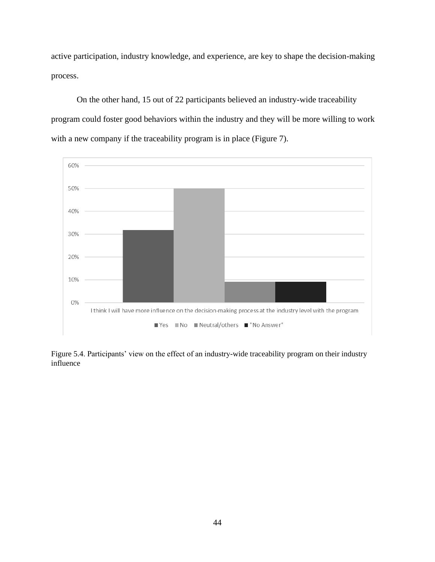active participation, industry knowledge, and experience, are key to shape the decision-making process.

On the other hand, 15 out of 22 participants believed an industry-wide traceability program could foster good behaviors within the industry and they will be more willing to work with a new company if the traceability program is in place (Figure 7).



Figure 5.4. Participants' view on the effect of an industry-wide traceability program on their industry influence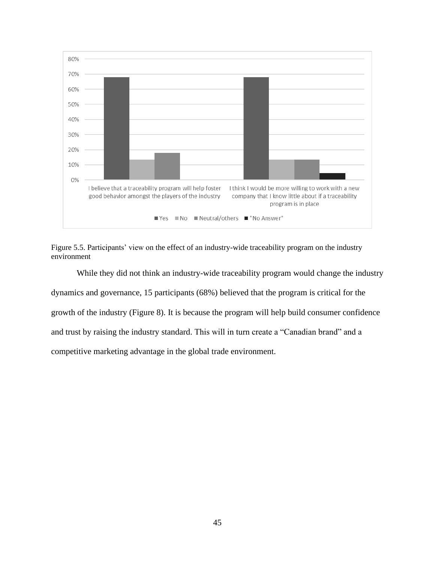



While they did not think an industry-wide traceability program would change the industry dynamics and governance, 15 participants (68%) believed that the program is critical for the growth of the industry (Figure 8). It is because the program will help build consumer confidence and trust by raising the industry standard. This will in turn create a "Canadian brand" and a competitive marketing advantage in the global trade environment.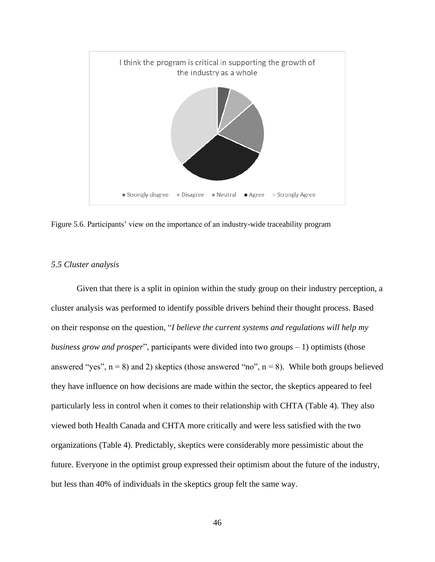

Figure 5.6. Participants' view on the importance of an industry-wide traceability program

#### *5.5 Cluster analysis*

Given that there is a split in opinion within the study group on their industry perception, a cluster analysis was performed to identify possible drivers behind their thought process. Based on their response on the question, "*I believe the current systems and regulations will help my business grow and prosper*", participants were divided into two groups – 1) optimists (those answered "yes",  $n = 8$ ) and 2) skeptics (those answered "no",  $n = 8$ ). While both groups believed they have influence on how decisions are made within the sector, the skeptics appeared to feel particularly less in control when it comes to their relationship with CHTA (Table 4). They also viewed both Health Canada and CHTA more critically and were less satisfied with the two organizations (Table 4). Predictably, skeptics were considerably more pessimistic about the future. Everyone in the optimist group expressed their optimism about the future of the industry, but less than 40% of individuals in the skeptics group felt the same way.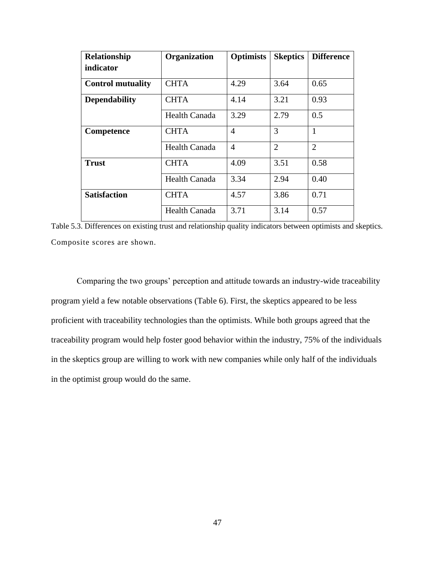| Relationship             | Organization         | <b>Optimists</b> | <b>Skeptics</b> | <b>Difference</b> |
|--------------------------|----------------------|------------------|-----------------|-------------------|
| indicator                |                      |                  |                 |                   |
| <b>Control mutuality</b> | <b>CHTA</b>          | 4.29             | 3.64            | 0.65              |
| <b>Dependability</b>     | <b>CHTA</b>          | 4.14             | 3.21            | 0.93              |
|                          | <b>Health Canada</b> | 3.29             | 2.79            | 0.5               |
| Competence               | <b>CHTA</b>          | $\overline{4}$   | 3               | 1                 |
|                          | <b>Health Canada</b> | $\overline{4}$   | $\overline{2}$  | 2                 |
| <b>Trust</b>             | <b>CHTA</b>          | 4.09             | 3.51            | 0.58              |
|                          | <b>Health Canada</b> | 3.34             | 2.94            | 0.40              |
| <b>Satisfaction</b>      | <b>CHTA</b>          | 4.57             | 3.86            | 0.71              |
|                          | <b>Health Canada</b> | 3.71             | 3.14            | 0.57              |

Table 5.3. Differences on existing trust and relationship quality indicators between optimists and skeptics. Composite scores are shown.

Comparing the two groups' perception and attitude towards an industry-wide traceability program yield a few notable observations (Table 6). First, the skeptics appeared to be less proficient with traceability technologies than the optimists. While both groups agreed that the traceability program would help foster good behavior within the industry, 75% of the individuals in the skeptics group are willing to work with new companies while only half of the individuals in the optimist group would do the same.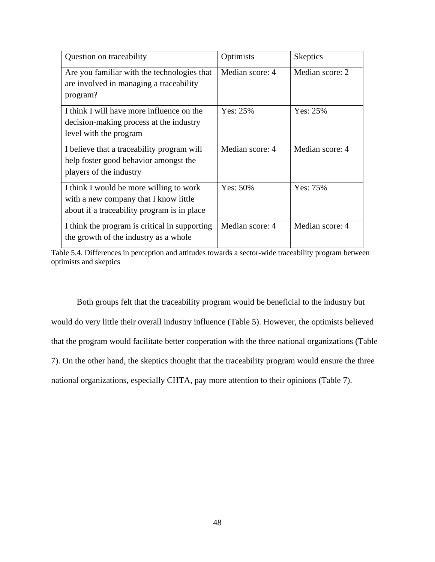| Question on traceability                                                                                                        | Optimists       | <b>Skeptics</b> |
|---------------------------------------------------------------------------------------------------------------------------------|-----------------|-----------------|
| Are you familiar with the technologies that<br>are involved in managing a traceability<br>program?                              | Median score: 4 | Median score: 2 |
| I think I will have more influence on the<br>decision-making process at the industry<br>level with the program                  | Yes: 25%        | Yes: $25%$      |
| I believe that a traceability program will<br>help foster good behavior amongst the<br>players of the industry                  | Median score: 4 | Median score: 4 |
| I think I would be more willing to work<br>with a new company that I know little<br>about if a traceability program is in place | Yes: 50%        | Yes: 75%        |
| I think the program is critical in supporting<br>the growth of the industry as a whole                                          | Median score: 4 | Median score: 4 |

Table 5.4. Differences in perception and attitudes towards a sector-wide traceability program between optimists and skeptics

Both groups felt that the traceability program would be beneficial to the industry but would do very little their overall industry influence (Table 5). However, the optimists believed that the program would facilitate better cooperation with the three national organizations (Table 7). On the other hand, the skeptics thought that the traceability program would ensure the three national organizations, especially CHTA, pay more attention to their opinions (Table 7).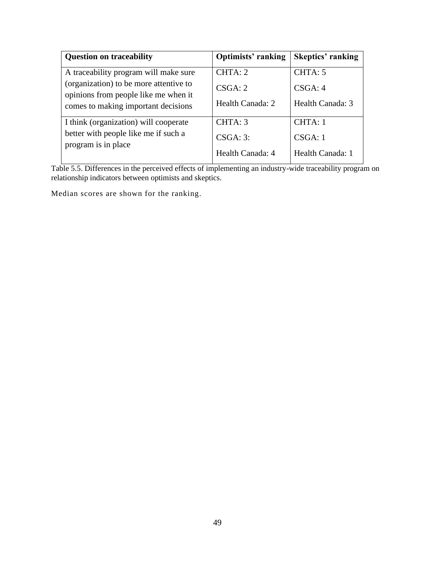| <b>Question on traceability</b>                                                | <b>Optimists' ranking</b> | <b>Skeptics' ranking</b> |
|--------------------------------------------------------------------------------|---------------------------|--------------------------|
| A traceability program will make sure                                          | CHTA: 2                   | CHTA: 5                  |
| (organization) to be more attentive to<br>opinions from people like me when it | CSGA: 2                   | CSGA: 4                  |
| comes to making important decisions                                            | Health Canada: 2          | Health Canada: 3         |
| I think (organization) will cooperate                                          | CHTA: 3                   | CHTA: 1                  |
| better with people like me if such a<br>program is in place                    | CSGA: 3:                  | CSGA: 1                  |
|                                                                                | Health Canada: 4          | Health Canada: 1         |

Table 5.5. Differences in the perceived effects of implementing an industry-wide traceability program on relationship indicators between optimists and skeptics.

Median scores are shown for the ranking.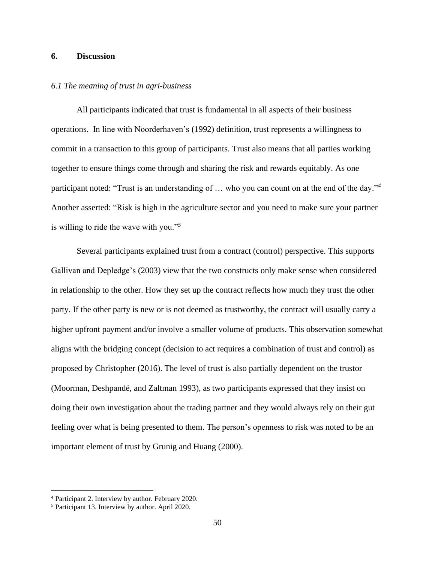# **6. Discussion**

## *6.1 The meaning of trust in agri-business*

All participants indicated that trust is fundamental in all aspects of their business operations. In line with Noorderhaven's (1992) definition, trust represents a willingness to commit in a transaction to this group of participants. Trust also means that all parties working together to ensure things come through and sharing the risk and rewards equitably. As one participant noted: "Trust is an understanding of … who you can count on at the end of the day."*<sup>4</sup>* Another asserted: "Risk is high in the agriculture sector and you need to make sure your partner is willing to ride the wave with you."*<sup>5</sup>*

Several participants explained trust from a contract (control) perspective. This supports Gallivan and Depledge's (2003) view that the two constructs only make sense when considered in relationship to the other. How they set up the contract reflects how much they trust the other party. If the other party is new or is not deemed as trustworthy, the contract will usually carry a higher upfront payment and/or involve a smaller volume of products. This observation somewhat aligns with the bridging concept (decision to act requires a combination of trust and control) as proposed by Christopher (2016). The level of trust is also partially dependent on the trustor (Moorman, Deshpandé, and Zaltman 1993), as two participants expressed that they insist on doing their own investigation about the trading partner and they would always rely on their gut feeling over what is being presented to them. The person's openness to risk was noted to be an important element of trust by Grunig and Huang (2000).

<sup>4</sup> Participant 2. Interview by author. February 2020.

<sup>5</sup> Participant 13. Interview by author. April 2020.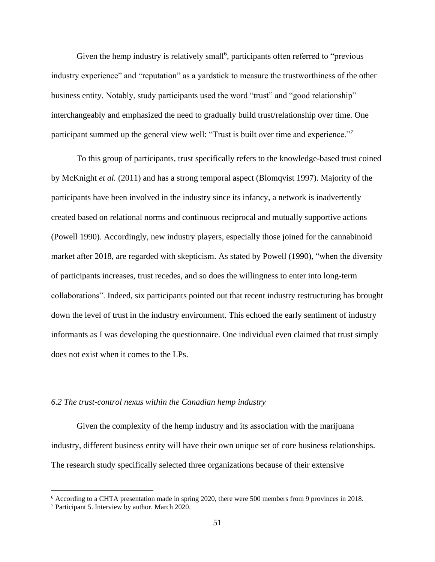Given the hemp industry is relatively small<sup>6</sup>, participants often referred to "previous industry experience" and "reputation" as a yardstick to measure the trustworthiness of the other business entity. Notably, study participants used the word "trust" and "good relationship" interchangeably and emphasized the need to gradually build trust/relationship over time. One participant summed up the general view well: "Trust is built over time and experience."*<sup>7</sup>*

To this group of participants, trust specifically refers to the knowledge-based trust coined by McKnight *et al.* (2011) and has a strong temporal aspect (Blomqvist 1997). Majority of the participants have been involved in the industry since its infancy, a network is inadvertently created based on relational norms and continuous reciprocal and mutually supportive actions (Powell 1990). Accordingly, new industry players, especially those joined for the cannabinoid market after 2018, are regarded with skepticism. As stated by Powell (1990), "when the diversity of participants increases, trust recedes, and so does the willingness to enter into long-term collaborations". Indeed, six participants pointed out that recent industry restructuring has brought down the level of trust in the industry environment. This echoed the early sentiment of industry informants as I was developing the questionnaire. One individual even claimed that trust simply does not exist when it comes to the LPs.

# *6.2 The trust-control nexus within the Canadian hemp industry*

Given the complexity of the hemp industry and its association with the marijuana industry, different business entity will have their own unique set of core business relationships. The research study specifically selected three organizations because of their extensive

<sup>6</sup> According to a CHTA presentation made in spring 2020, there were 500 members from 9 provinces in 2018.

<sup>7</sup> Participant 5. Interview by author. March 2020.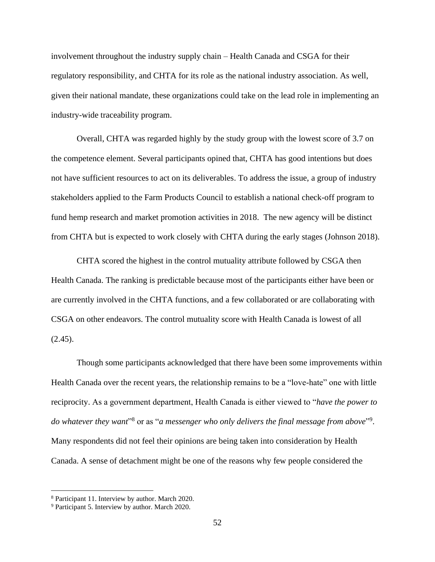involvement throughout the industry supply chain – Health Canada and CSGA for their regulatory responsibility, and CHTA for its role as the national industry association. As well, given their national mandate, these organizations could take on the lead role in implementing an industry-wide traceability program.

Overall, CHTA was regarded highly by the study group with the lowest score of 3.7 on the competence element. Several participants opined that, CHTA has good intentions but does not have sufficient resources to act on its deliverables. To address the issue, a group of industry stakeholders applied to the Farm Products Council to establish a national check-off program to fund hemp research and market promotion activities in 2018. The new agency will be distinct from CHTA but is expected to work closely with CHTA during the early stages (Johnson 2018).

CHTA scored the highest in the control mutuality attribute followed by CSGA then Health Canada. The ranking is predictable because most of the participants either have been or are currently involved in the CHTA functions, and a few collaborated or are collaborating with CSGA on other endeavors. The control mutuality score with Health Canada is lowest of all  $(2.45)$ .

Though some participants acknowledged that there have been some improvements within Health Canada over the recent years, the relationship remains to be a "love-hate" one with little reciprocity. As a government department, Health Canada is either viewed to "*have the power to*  do whatever they want"<sup>8</sup> or as "a messenger who only delivers the final message from above"<sup>9</sup>. Many respondents did not feel their opinions are being taken into consideration by Health Canada. A sense of detachment might be one of the reasons why few people considered the

<sup>8</sup> Participant 11. Interview by author. March 2020.

<sup>9</sup> Participant 5. Interview by author. March 2020.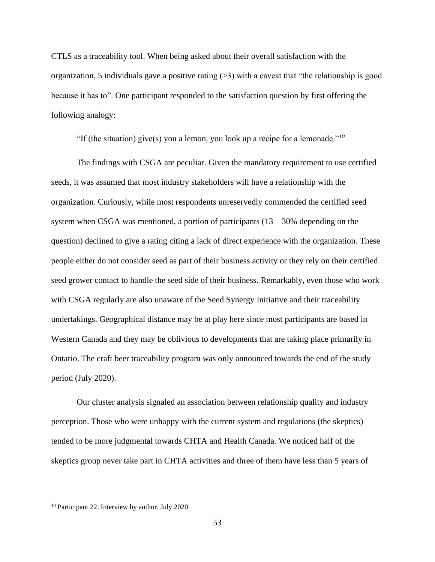CTLS as a traceability tool. When being asked about their overall satisfaction with the organization, 5 individuals gave a positive rating  $(>= 3)$  with a caveat that "the relationship is good because it has to". One participant responded to the satisfaction question by first offering the following analogy:

"If (the situation) give(s) you a lemon, you look up a recipe for a lemonade."*<sup>10</sup>*

The findings with CSGA are peculiar. Given the mandatory requirement to use certified seeds, it was assumed that most industry stakeholders will have a relationship with the organization. Curiously, while most respondents unreservedly commended the certified seed system when CSGA was mentioned, a portion of participants  $(13 - 30\%$  depending on the question) declined to give a rating citing a lack of direct experience with the organization. These people either do not consider seed as part of their business activity or they rely on their certified seed grower contact to handle the seed side of their business. Remarkably, even those who work with CSGA regularly are also unaware of the Seed Synergy Initiative and their traceability undertakings. Geographical distance may be at play here since most participants are based in Western Canada and they may be oblivious to developments that are taking place primarily in Ontario. The craft beer traceability program was only announced towards the end of the study period (July 2020).

Our cluster analysis signaled an association between relationship quality and industry perception. Those who were unhappy with the current system and regulations (the skeptics) tended to be more judgmental towards CHTA and Health Canada. We noticed half of the skeptics group never take part in CHTA activities and three of them have less than 5 years of

<sup>10</sup> Participant 22. Interview by author. July 2020.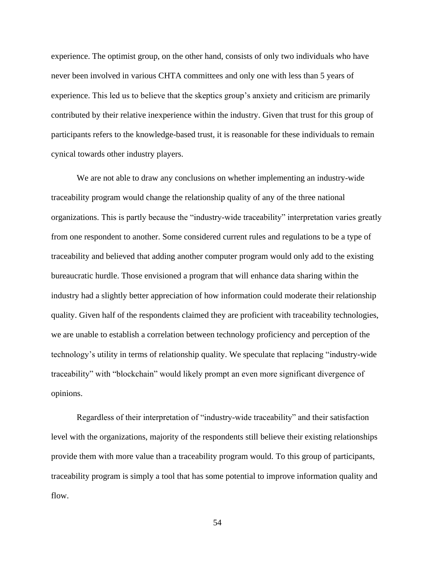experience. The optimist group, on the other hand, consists of only two individuals who have never been involved in various CHTA committees and only one with less than 5 years of experience. This led us to believe that the skeptics group's anxiety and criticism are primarily contributed by their relative inexperience within the industry. Given that trust for this group of participants refers to the knowledge-based trust, it is reasonable for these individuals to remain cynical towards other industry players.

We are not able to draw any conclusions on whether implementing an industry-wide traceability program would change the relationship quality of any of the three national organizations. This is partly because the "industry-wide traceability" interpretation varies greatly from one respondent to another. Some considered current rules and regulations to be a type of traceability and believed that adding another computer program would only add to the existing bureaucratic hurdle. Those envisioned a program that will enhance data sharing within the industry had a slightly better appreciation of how information could moderate their relationship quality. Given half of the respondents claimed they are proficient with traceability technologies, we are unable to establish a correlation between technology proficiency and perception of the technology's utility in terms of relationship quality. We speculate that replacing "industry-wide traceability" with "blockchain" would likely prompt an even more significant divergence of opinions.

Regardless of their interpretation of "industry-wide traceability" and their satisfaction level with the organizations, majority of the respondents still believe their existing relationships provide them with more value than a traceability program would. To this group of participants, traceability program is simply a tool that has some potential to improve information quality and flow.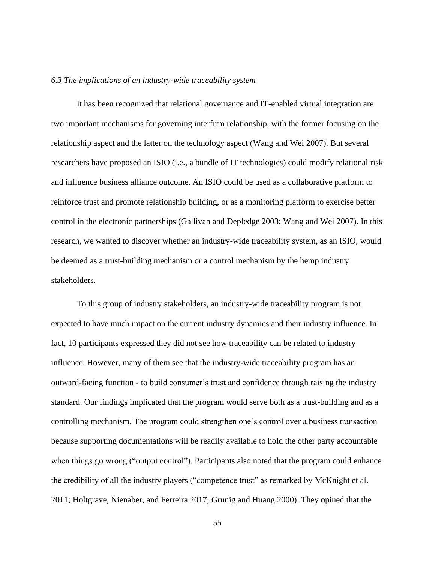#### *6.3 The implications of an industry-wide traceability system*

It has been recognized that relational governance and IT-enabled virtual integration are two important mechanisms for governing interfirm relationship, with the former focusing on the relationship aspect and the latter on the technology aspect (Wang and Wei 2007). But several researchers have proposed an ISIO (i.e., a bundle of IT technologies) could modify relational risk and influence business alliance outcome. An ISIO could be used as a collaborative platform to reinforce trust and promote relationship building, or as a monitoring platform to exercise better control in the electronic partnerships (Gallivan and Depledge 2003; Wang and Wei 2007). In this research, we wanted to discover whether an industry-wide traceability system, as an ISIO, would be deemed as a trust-building mechanism or a control mechanism by the hemp industry stakeholders.

To this group of industry stakeholders, an industry-wide traceability program is not expected to have much impact on the current industry dynamics and their industry influence. In fact, 10 participants expressed they did not see how traceability can be related to industry influence. However, many of them see that the industry-wide traceability program has an outward-facing function - to build consumer's trust and confidence through raising the industry standard. Our findings implicated that the program would serve both as a trust-building and as a controlling mechanism. The program could strengthen one's control over a business transaction because supporting documentations will be readily available to hold the other party accountable when things go wrong ("output control"). Participants also noted that the program could enhance the credibility of all the industry players ("competence trust" as remarked by McKnight et al. 2011; Holtgrave, Nienaber, and Ferreira 2017; Grunig and Huang 2000). They opined that the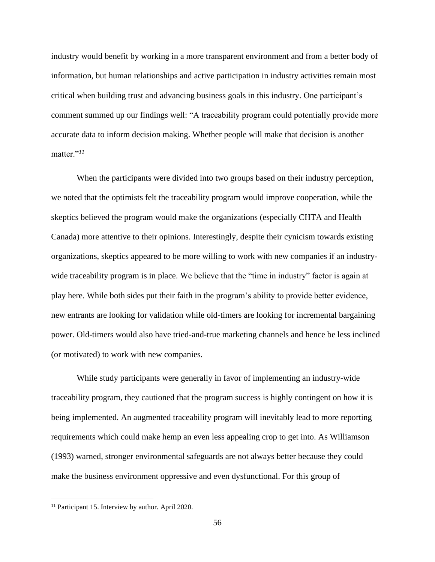industry would benefit by working in a more transparent environment and from a better body of information, but human relationships and active participation in industry activities remain most critical when building trust and advancing business goals in this industry. One participant's comment summed up our findings well: "A traceability program could potentially provide more accurate data to inform decision making. Whether people will make that decision is another matter."*<sup>11</sup>*

When the participants were divided into two groups based on their industry perception, we noted that the optimists felt the traceability program would improve cooperation, while the skeptics believed the program would make the organizations (especially CHTA and Health Canada) more attentive to their opinions. Interestingly, despite their cynicism towards existing organizations, skeptics appeared to be more willing to work with new companies if an industrywide traceability program is in place. We believe that the "time in industry" factor is again at play here. While both sides put their faith in the program's ability to provide better evidence, new entrants are looking for validation while old-timers are looking for incremental bargaining power. Old-timers would also have tried-and-true marketing channels and hence be less inclined (or motivated) to work with new companies.

While study participants were generally in favor of implementing an industry-wide traceability program, they cautioned that the program success is highly contingent on how it is being implemented. An augmented traceability program will inevitably lead to more reporting requirements which could make hemp an even less appealing crop to get into. As Williamson (1993) warned, stronger environmental safeguards are not always better because they could make the business environment oppressive and even dysfunctional. For this group of

<sup>&</sup>lt;sup>11</sup> Participant 15. Interview by author. April 2020.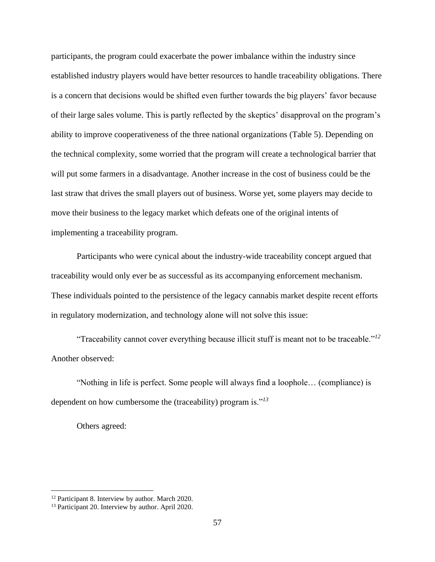participants, the program could exacerbate the power imbalance within the industry since established industry players would have better resources to handle traceability obligations. There is a concern that decisions would be shifted even further towards the big players' favor because of their large sales volume. This is partly reflected by the skeptics' disapproval on the program's ability to improve cooperativeness of the three national organizations (Table 5). Depending on the technical complexity, some worried that the program will create a technological barrier that will put some farmers in a disadvantage. Another increase in the cost of business could be the last straw that drives the small players out of business. Worse yet, some players may decide to move their business to the legacy market which defeats one of the original intents of implementing a traceability program.

Participants who were cynical about the industry-wide traceability concept argued that traceability would only ever be as successful as its accompanying enforcement mechanism. These individuals pointed to the persistence of the legacy cannabis market despite recent efforts in regulatory modernization, and technology alone will not solve this issue:

"Traceability cannot cover everything because illicit stuff is meant not to be traceable."*<sup>12</sup>* Another observed:

"Nothing in life is perfect. Some people will always find a loophole… (compliance) is dependent on how cumbersome the (traceability) program is."*<sup>13</sup>*

Others agreed:

<sup>&</sup>lt;sup>12</sup> Participant 8. Interview by author. March 2020.

<sup>&</sup>lt;sup>13</sup> Participant 20. Interview by author. April 2020.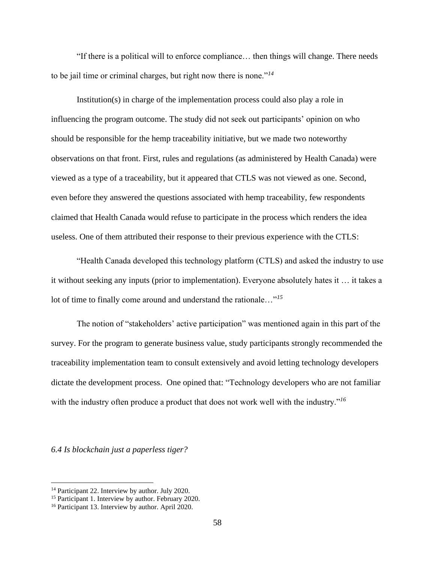"If there is a political will to enforce compliance… then things will change. There needs to be jail time or criminal charges, but right now there is none."*<sup>14</sup>*

Institution(s) in charge of the implementation process could also play a role in influencing the program outcome. The study did not seek out participants' opinion on who should be responsible for the hemp traceability initiative, but we made two noteworthy observations on that front. First, rules and regulations (as administered by Health Canada) were viewed as a type of a traceability, but it appeared that CTLS was not viewed as one. Second, even before they answered the questions associated with hemp traceability, few respondents claimed that Health Canada would refuse to participate in the process which renders the idea useless. One of them attributed their response to their previous experience with the CTLS:

"Health Canada developed this technology platform (CTLS) and asked the industry to use it without seeking any inputs (prior to implementation). Everyone absolutely hates it … it takes a lot of time to finally come around and understand the rationale…"*<sup>15</sup>*

The notion of "stakeholders' active participation" was mentioned again in this part of the survey. For the program to generate business value, study participants strongly recommended the traceability implementation team to consult extensively and avoid letting technology developers dictate the development process. One opined that: "Technology developers who are not familiar with the industry often produce a product that does not work well with the industry.<sup>"16</sup>

*6.4 Is blockchain just a paperless tiger?*

<sup>&</sup>lt;sup>14</sup> Participant 22. Interview by author. July 2020.

<sup>&</sup>lt;sup>15</sup> Participant 1. Interview by author. February 2020.

<sup>16</sup> Participant 13. Interview by author. April 2020.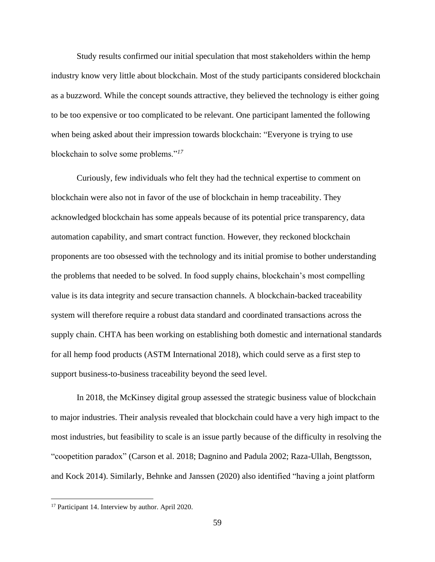Study results confirmed our initial speculation that most stakeholders within the hemp industry know very little about blockchain. Most of the study participants considered blockchain as a buzzword. While the concept sounds attractive, they believed the technology is either going to be too expensive or too complicated to be relevant. One participant lamented the following when being asked about their impression towards blockchain: "Everyone is trying to use blockchain to solve some problems."*<sup>17</sup>*

Curiously, few individuals who felt they had the technical expertise to comment on blockchain were also not in favor of the use of blockchain in hemp traceability. They acknowledged blockchain has some appeals because of its potential price transparency, data automation capability, and smart contract function. However, they reckoned blockchain proponents are too obsessed with the technology and its initial promise to bother understanding the problems that needed to be solved. In food supply chains, blockchain's most compelling value is its data integrity and secure transaction channels. A blockchain-backed traceability system will therefore require a robust data standard and coordinated transactions across the supply chain. CHTA has been working on establishing both domestic and international standards for all hemp food products (ASTM International 2018), which could serve as a first step to support business-to-business traceability beyond the seed level.

In 2018, the McKinsey digital group assessed the strategic business value of blockchain to major industries. Their analysis revealed that blockchain could have a very high impact to the most industries, but feasibility to scale is an issue partly because of the difficulty in resolving the "coopetition paradox" (Carson et al. 2018; Dagnino and Padula 2002; Raza-Ullah, Bengtsson, and Kock 2014). Similarly, Behnke and Janssen (2020) also identified "having a joint platform

<sup>&</sup>lt;sup>17</sup> Participant 14. Interview by author. April 2020.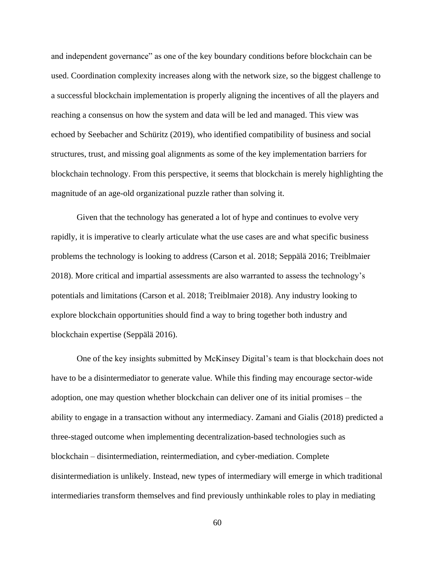and independent governance" as one of the key boundary conditions before blockchain can be used. Coordination complexity increases along with the network size, so the biggest challenge to a successful blockchain implementation is properly aligning the incentives of all the players and reaching a consensus on how the system and data will be led and managed. This view was echoed by Seebacher and Schüritz (2019), who identified compatibility of business and social structures, trust, and missing goal alignments as some of the key implementation barriers for blockchain technology. From this perspective, it seems that blockchain is merely highlighting the magnitude of an age-old organizational puzzle rather than solving it.

Given that the technology has generated a lot of hype and continues to evolve very rapidly, it is imperative to clearly articulate what the use cases are and what specific business problems the technology is looking to address (Carson et al. 2018; Seppälä 2016; Treiblmaier 2018). More critical and impartial assessments are also warranted to assess the technology's potentials and limitations (Carson et al. 2018; Treiblmaier 2018). Any industry looking to explore blockchain opportunities should find a way to bring together both industry and blockchain expertise (Seppälä 2016).

One of the key insights submitted by McKinsey Digital's team is that blockchain does not have to be a disintermediator to generate value. While this finding may encourage sector-wide adoption, one may question whether blockchain can deliver one of its initial promises – the ability to engage in a transaction without any intermediacy. Zamani and Gialis (2018) predicted a three-staged outcome when implementing decentralization-based technologies such as blockchain – disintermediation, reintermediation, and cyber-mediation. Complete disintermediation is unlikely. Instead, new types of intermediary will emerge in which traditional intermediaries transform themselves and find previously unthinkable roles to play in mediating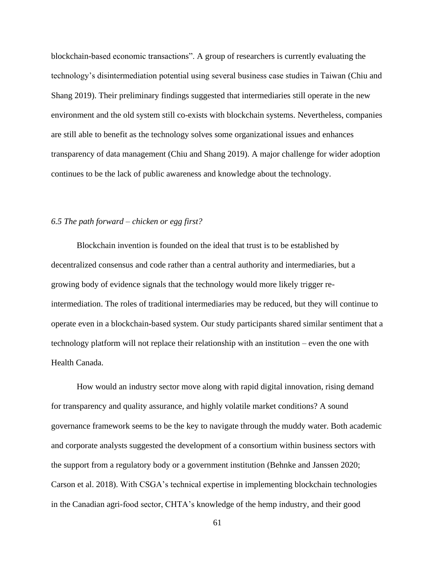blockchain-based economic transactions". A group of researchers is currently evaluating the technology's disintermediation potential using several business case studies in Taiwan (Chiu and Shang 2019). Their preliminary findings suggested that intermediaries still operate in the new environment and the old system still co-exists with blockchain systems. Nevertheless, companies are still able to benefit as the technology solves some organizational issues and enhances transparency of data management (Chiu and Shang 2019). A major challenge for wider adoption continues to be the lack of public awareness and knowledge about the technology.

### *6.5 The path forward – chicken or egg first?*

Blockchain invention is founded on the ideal that trust is to be established by decentralized consensus and code rather than a central authority and intermediaries, but a growing body of evidence signals that the technology would more likely trigger reintermediation. The roles of traditional intermediaries may be reduced, but they will continue to operate even in a blockchain-based system. Our study participants shared similar sentiment that a technology platform will not replace their relationship with an institution – even the one with Health Canada.

How would an industry sector move along with rapid digital innovation, rising demand for transparency and quality assurance, and highly volatile market conditions? A sound governance framework seems to be the key to navigate through the muddy water. Both academic and corporate analysts suggested the development of a consortium within business sectors with the support from a regulatory body or a government institution (Behnke and Janssen 2020; Carson et al. 2018). With CSGA's technical expertise in implementing blockchain technologies in the Canadian agri-food sector, CHTA's knowledge of the hemp industry, and their good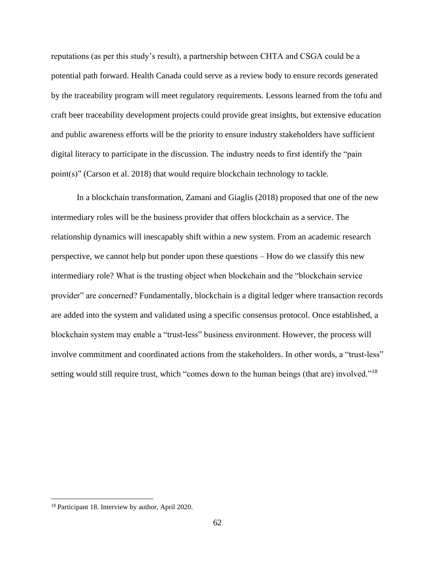reputations (as per this study's result), a partnership between CHTA and CSGA could be a potential path forward. Health Canada could serve as a review body to ensure records generated by the traceability program will meet regulatory requirements. Lessons learned from the tofu and craft beer traceability development projects could provide great insights, but extensive education and public awareness efforts will be the priority to ensure industry stakeholders have sufficient digital literacy to participate in the discussion. The industry needs to first identify the "pain point(s)" (Carson et al. 2018) that would require blockchain technology to tackle.

In a blockchain transformation, Zamani and Giaglis (2018) proposed that one of the new intermediary roles will be the business provider that offers blockchain as a service. The relationship dynamics will inescapably shift within a new system. From an academic research perspective, we cannot help but ponder upon these questions – How do we classify this new intermediary role? What is the trusting object when blockchain and the "blockchain service provider" are concerned? Fundamentally, blockchain is a digital ledger where transaction records are added into the system and validated using a specific consensus protocol. Once established, a blockchain system may enable a "trust-less" business environment. However, the process will involve commitment and coordinated actions from the stakeholders. In other words, a "trust-less" setting would still require trust, which "comes down to the human beings (that are) involved."<sup>18</sup>

<sup>18</sup> Participant 18. Interview by author, April 2020.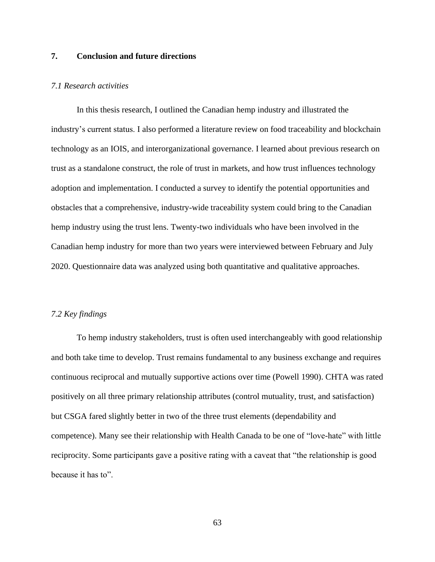### **7. Conclusion and future directions**

### *7.1 Research activities*

In this thesis research, I outlined the Canadian hemp industry and illustrated the industry's current status. I also performed a literature review on food traceability and blockchain technology as an IOIS, and interorganizational governance. I learned about previous research on trust as a standalone construct, the role of trust in markets, and how trust influences technology adoption and implementation. I conducted a survey to identify the potential opportunities and obstacles that a comprehensive, industry-wide traceability system could bring to the Canadian hemp industry using the trust lens. Twenty-two individuals who have been involved in the Canadian hemp industry for more than two years were interviewed between February and July 2020. Questionnaire data was analyzed using both quantitative and qualitative approaches.

#### *7.2 Key findings*

To hemp industry stakeholders, trust is often used interchangeably with good relationship and both take time to develop. Trust remains fundamental to any business exchange and requires continuous reciprocal and mutually supportive actions over time (Powell 1990). CHTA was rated positively on all three primary relationship attributes (control mutuality, trust, and satisfaction) but CSGA fared slightly better in two of the three trust elements (dependability and competence). Many see their relationship with Health Canada to be one of "love-hate" with little reciprocity. Some participants gave a positive rating with a caveat that "the relationship is good because it has to".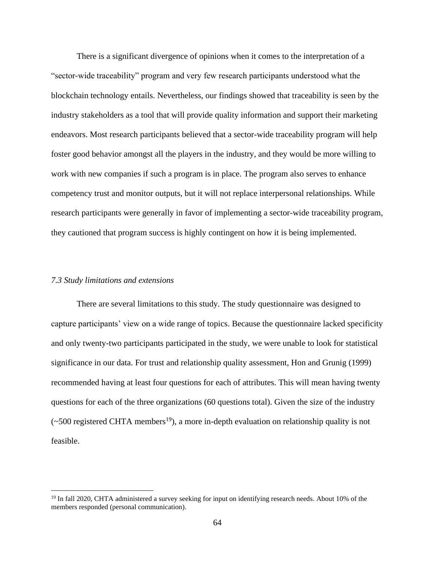There is a significant divergence of opinions when it comes to the interpretation of a "sector-wide traceability" program and very few research participants understood what the blockchain technology entails. Nevertheless, our findings showed that traceability is seen by the industry stakeholders as a tool that will provide quality information and support their marketing endeavors. Most research participants believed that a sector-wide traceability program will help foster good behavior amongst all the players in the industry, and they would be more willing to work with new companies if such a program is in place. The program also serves to enhance competency trust and monitor outputs, but it will not replace interpersonal relationships. While research participants were generally in favor of implementing a sector-wide traceability program, they cautioned that program success is highly contingent on how it is being implemented.

### *7.3 Study limitations and extensions*

There are several limitations to this study. The study questionnaire was designed to capture participants' view on a wide range of topics. Because the questionnaire lacked specificity and only twenty-two participants participated in the study, we were unable to look for statistical significance in our data. For trust and relationship quality assessment, Hon and Grunig (1999) recommended having at least four questions for each of attributes. This will mean having twenty questions for each of the three organizations (60 questions total). Given the size of the industry  $(\sim 500$  registered CHTA members<sup>19</sup>), a more in-depth evaluation on relationship quality is not feasible.

<sup>&</sup>lt;sup>19</sup> In fall 2020, CHTA administered a survey seeking for input on identifying research needs. About 10% of the members responded (personal communication).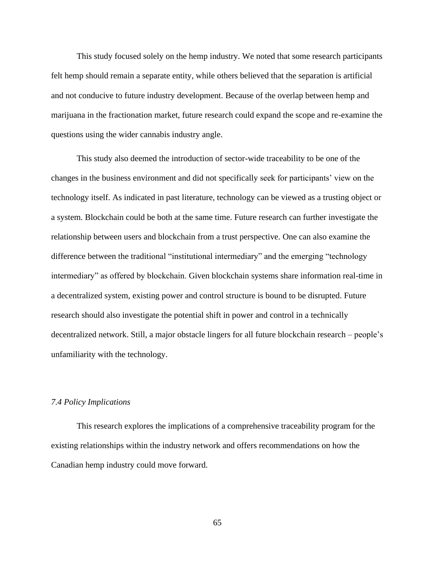This study focused solely on the hemp industry. We noted that some research participants felt hemp should remain a separate entity, while others believed that the separation is artificial and not conducive to future industry development. Because of the overlap between hemp and marijuana in the fractionation market, future research could expand the scope and re-examine the questions using the wider cannabis industry angle.

This study also deemed the introduction of sector-wide traceability to be one of the changes in the business environment and did not specifically seek for participants' view on the technology itself. As indicated in past literature, technology can be viewed as a trusting object or a system. Blockchain could be both at the same time. Future research can further investigate the relationship between users and blockchain from a trust perspective. One can also examine the difference between the traditional "institutional intermediary" and the emerging "technology intermediary" as offered by blockchain. Given blockchain systems share information real-time in a decentralized system, existing power and control structure is bound to be disrupted. Future research should also investigate the potential shift in power and control in a technically decentralized network. Still, a major obstacle lingers for all future blockchain research – people's unfamiliarity with the technology.

### *7.4 Policy Implications*

This research explores the implications of a comprehensive traceability program for the existing relationships within the industry network and offers recommendations on how the Canadian hemp industry could move forward.

65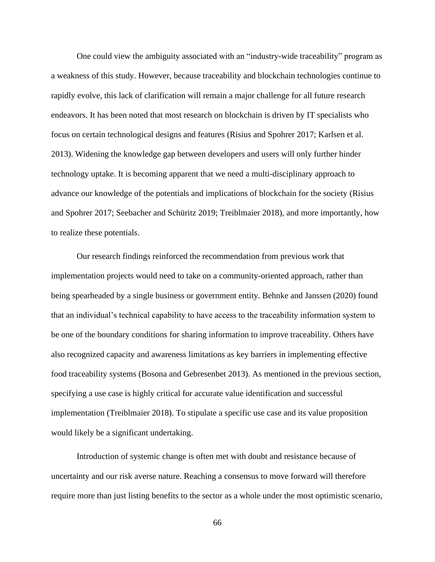One could view the ambiguity associated with an "industry-wide traceability" program as a weakness of this study. However, because traceability and blockchain technologies continue to rapidly evolve, this lack of clarification will remain a major challenge for all future research endeavors. It has been noted that most research on blockchain is driven by IT specialists who focus on certain technological designs and features (Risius and Spohrer 2017; Karlsen et al. 2013). Widening the knowledge gap between developers and users will only further hinder technology uptake. It is becoming apparent that we need a multi-disciplinary approach to advance our knowledge of the potentials and implications of blockchain for the society (Risius and Spohrer 2017; Seebacher and Schüritz 2019; Treiblmaier 2018), and more importantly, how to realize these potentials.

Our research findings reinforced the recommendation from previous work that implementation projects would need to take on a community-oriented approach, rather than being spearheaded by a single business or government entity. Behnke and Janssen (2020) found that an individual's technical capability to have access to the traceability information system to be one of the boundary conditions for sharing information to improve traceability. Others have also recognized capacity and awareness limitations as key barriers in implementing effective food traceability systems (Bosona and Gebresenbet 2013). As mentioned in the previous section, specifying a use case is highly critical for accurate value identification and successful implementation (Treiblmaier 2018). To stipulate a specific use case and its value proposition would likely be a significant undertaking.

Introduction of systemic change is often met with doubt and resistance because of uncertainty and our risk averse nature. Reaching a consensus to move forward will therefore require more than just listing benefits to the sector as a whole under the most optimistic scenario,

66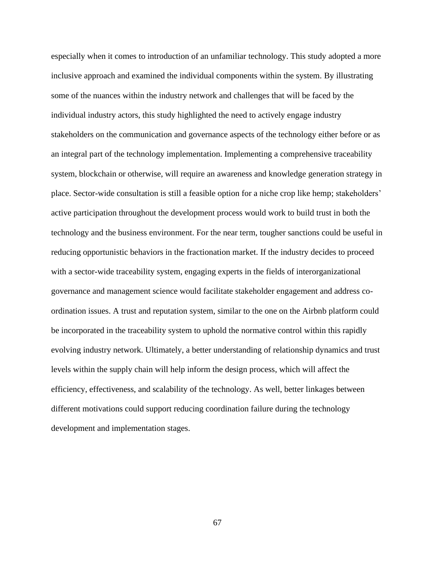especially when it comes to introduction of an unfamiliar technology. This study adopted a more inclusive approach and examined the individual components within the system. By illustrating some of the nuances within the industry network and challenges that will be faced by the individual industry actors, this study highlighted the need to actively engage industry stakeholders on the communication and governance aspects of the technology either before or as an integral part of the technology implementation. Implementing a comprehensive traceability system, blockchain or otherwise, will require an awareness and knowledge generation strategy in place. Sector-wide consultation is still a feasible option for a niche crop like hemp; stakeholders' active participation throughout the development process would work to build trust in both the technology and the business environment. For the near term, tougher sanctions could be useful in reducing opportunistic behaviors in the fractionation market. If the industry decides to proceed with a sector-wide traceability system, engaging experts in the fields of interorganizational governance and management science would facilitate stakeholder engagement and address coordination issues. A trust and reputation system, similar to the one on the Airbnb platform could be incorporated in the traceability system to uphold the normative control within this rapidly evolving industry network. Ultimately, a better understanding of relationship dynamics and trust levels within the supply chain will help inform the design process, which will affect the efficiency, effectiveness, and scalability of the technology. As well, better linkages between different motivations could support reducing coordination failure during the technology development and implementation stages.

67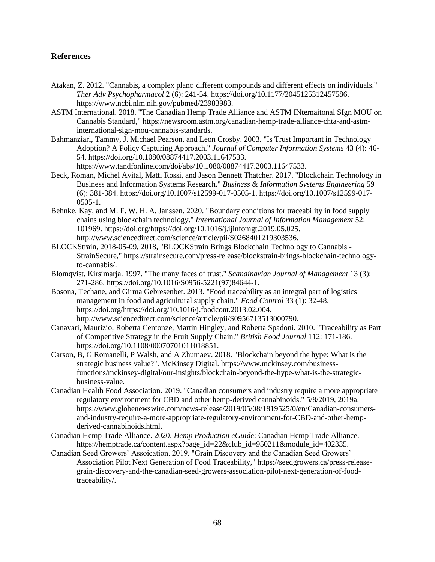### **References**

- Atakan, Z. 2012. "Cannabis, a complex plant: different compounds and different effects on individuals." *Ther Adv Psychopharmacol* 2 (6): 241-54. https://doi.org/10.1177/2045125312457586. https://www.ncbi.nlm.nih.gov/pubmed/23983983.
- ASTM International. 2018. "The Canadian Hemp Trade Alliance and ASTM INternaitonal SIgn MOU on Cannabis Standard," https://newsroom.astm.org/canadian-hemp-trade-alliance-chta-and-astminternational-sign-mou-cannabis-standards.
- Bahmanziari, Tammy, J. Michael Pearson, and Leon Crosby. 2003. "Is Trust Important in Technology Adoption? A Policy Capturing Approach." *Journal of Computer Information Systems* 43 (4): 46- 54. https://doi.org/10.1080/08874417.2003.11647533.

https://www.tandfonline.com/doi/abs/10.1080/08874417.2003.11647533.

- Beck, Roman, Michel Avital, Matti Rossi, and Jason Bennett Thatcher. 2017. "Blockchain Technology in Business and Information Systems Research." *Business & Information Systems Engineering* 59 (6): 381-384. https://doi.org/10.1007/s12599-017-0505-1. https://doi.org/10.1007/s12599-017- 0505-1.
- Behnke, Kay, and M. F. W. H. A. Janssen. 2020. "Boundary conditions for traceability in food supply chains using blockchain technology." *International Journal of Information Management* 52: 101969. https://doi.org/https://doi.org/10.1016/j.ijinfomgt.2019.05.025. http://www.sciencedirect.com/science/article/pii/S0268401219303536.
- BLOCKStrain, 2018-05-09, 2018, "BLOCKStrain Brings Blockchain Technology to Cannabis StrainSecure," https://strainsecure.com/press-release/blockstrain-brings-blockchain-technologyto-cannabis/.
- Blomqvist, Kirsimarja. 1997. "The many faces of trust." *Scandinavian Journal of Management* 13 (3): 271-286. https://doi.org/10.1016/S0956-5221(97)84644-1.
- Bosona, Techane, and Girma Gebresenbet. 2013. "Food traceability as an integral part of logistics management in food and agricultural supply chain." *Food Control* 33 (1): 32-48. https://doi.org/https://doi.org/10.1016/j.foodcont.2013.02.004. http://www.sciencedirect.com/science/article/pii/S0956713513000790.
- Canavari, Maurizio, Roberta Centonze, Martin Hingley, and Roberta Spadoni. 2010. "Traceability as Part of Competitive Strategy in the Fruit Supply Chain." *British Food Journal* 112: 171-186. https://doi.org/10.1108/00070701011018851.
- Carson, B, G Romanelli, P Walsh, and A Zhumaev. 2018. "Blockchain beyond the hype: What is the strategic business value?". McKinsey Digital. https://www.mckinsey.com/businessfunctions/mckinsey-digital/our-insights/blockchain-beyond-the-hype-what-is-the-strategicbusiness-value.
- Canadian Health Food Association. 2019. "Canadian consumers and industry require a more appropriate regulatory environment for CBD and other hemp-derived cannabinoids." 5/8/2019, 2019a. https://www.globenewswire.com/news-release/2019/05/08/1819525/0/en/Canadian-consumersand-industry-require-a-more-appropriate-regulatory-environment-for-CBD-and-other-hempderived-cannabinoids.html.
- Canadian Hemp Trade Alliance. 2020. *Hemp Production eGuide*: Canadian Hemp Trade Alliance. https://hemptrade.ca/content.aspx?page\_id=22&club\_id=950211&module\_id=402335.
- Canadian Seed Growers' Assoication. 2019. "Grain Discovery and the Canadian Seed Growers' Association Pilot Next Generation of Food Traceability," https://seedgrowers.ca/press-releasegrain-discovery-and-the-canadian-seed-growers-association-pilot-next-generation-of-foodtraceability/.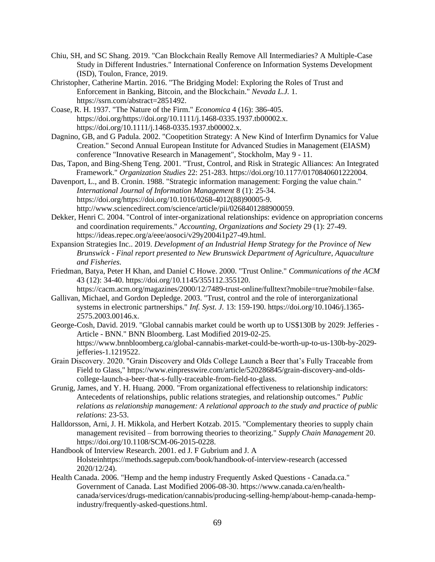- Chiu, SH, and SC Shang. 2019. "Can Blockchain Really Remove All Intermediaries? A Multiple-Case Study in Different Industries." International Conference on Information Systems Development (ISD), Toulon, France, 2019.
- Christopher, Catherine Martin. 2016. "The Bridging Model: Exploring the Roles of Trust and Enforcement in Banking, Bitcoin, and the Blockchain." *Nevada L.J.* 1. https://ssrn.com/abstract=2851492.
- Coase, R. H. 1937. "The Nature of the Firm." *Economica* 4 (16): 386-405. https://doi.org/https://doi.org/10.1111/j.1468-0335.1937.tb00002.x. https://doi.org/10.1111/j.1468-0335.1937.tb00002.x.
- Dagnino, GB, and G Padula. 2002. "Coopetition Strategy: A New Kind of Interfirm Dynamics for Value Creation." Second Annual European Institute for Advanced Studies in Management (EIASM) conference "Innovative Research in Management", Stockholm, May 9 - 11.
- Das, Tapon, and Bing-Sheng Teng. 2001. "Trust, Control, and Risk in Strategic Alliances: An Integrated Framework." *Organization Studies* 22: 251-283. https://doi.org/10.1177/0170840601222004.
- Davenport, L., and B. Cronin. 1988. "Strategic information management: Forging the value chain." *International Journal of Information Management* 8 (1): 25-34. https://doi.org/https://doi.org/10.1016/0268-4012(88)90005-9. http://www.sciencedirect.com/science/article/pii/0268401288900059.
- Dekker, Henri C. 2004. "Control of inter-organizational relationships: evidence on appropriation concerns and coordination requirements." *Accounting, Organizations and Society* 29 (1): 27-49. https://ideas.repec.org/a/eee/aosoci/v29y2004i1p27-49.html.
- Expansion Strategies Inc.. 2019. *Development of an Industrial Hemp Strategy for the Province of New Brunswick - Final report presented to New Brunswick Department of Agriculture, Aquaculture and Fisheries.*
- Friedman, Batya, Peter H Khan, and Daniel C Howe. 2000. "Trust Online." *Communications of the ACM* 43 (12): 34-40. https://doi.org/10.1145/355112.355120.
	- https://cacm.acm.org/magazines/2000/12/7489-trust-online/fulltext?mobile=true?mobile=false.
- Gallivan, Michael, and Gordon Depledge. 2003. "Trust, control and the role of interorganizational systems in electronic partnerships." *Inf. Syst. J.* 13: 159-190. https://doi.org/10.1046/j.1365- 2575.2003.00146.x.
- George-Cosh, David. 2019. "Global cannabis market could be worth up to US\$130B by 2029: Jefferies Article - BNN." BNN Bloomberg. Last Modified 2019-02-25. https://www.bnnbloomberg.ca/global-cannabis-market-could-be-worth-up-to-us-130b-by-2029 jefferies-1.1219522.
- Grain Discovery. 2020. "Grain Discovery and Olds College Launch a Beer that's Fully Traceable from Field to Glass," https://www.einpresswire.com/article/520286845/grain-discovery-and-oldscollege-launch-a-beer-that-s-fully-traceable-from-field-to-glass.
- Grunig, James, and Y. H. Huang. 2000. "From organizational effectiveness to relationship indicators: Antecedents of relationships, public relations strategies, and relationship outcomes." *Public relations as relationship management: A relational approach to the study and practice of public relations*: 23-53.
- Halldorsson, Arni, J. H. Mikkola, and Herbert Kotzab. 2015. "Complementary theories to supply chain management revisited – from borrowing theories to theorizing." *Supply Chain Management* 20. https://doi.org/10.1108/SCM-06-2015-0228.
- Handbook of Interview Research. 2001. ed J. F Gubrium and J. A Holsteinhttps://methods.sagepub.com/book/handbook-of-interview-research (accessed 2020/12/24).
- Health Canada. 2006. "Hemp and the hemp industry Frequently Asked Questions Canada.ca." Government of Canada. Last Modified 2006-08-30. https://www.canada.ca/en/healthcanada/services/drugs-medication/cannabis/producing-selling-hemp/about-hemp-canada-hempindustry/frequently-asked-questions.html.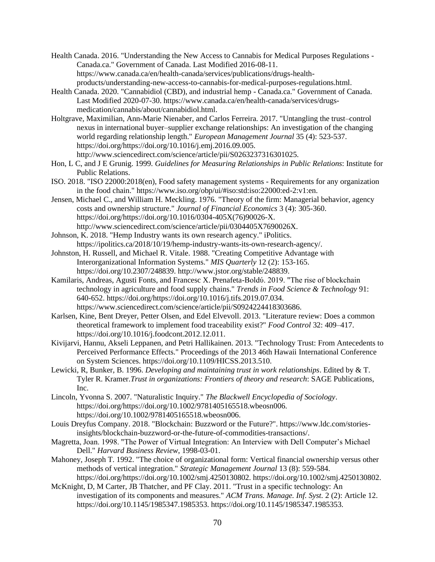- Health Canada. 2016. "Understanding the New Access to Cannabis for Medical Purposes Regulations Canada.ca." Government of Canada. Last Modified 2016-08-11. https://www.canada.ca/en/health-canada/services/publications/drugs-healthproducts/understanding-new-access-to-cannabis-for-medical-purposes-regulations.html.
- Health Canada. 2020. "Cannabidiol (CBD), and industrial hemp Canada.ca." Government of Canada. Last Modified 2020-07-30. https://www.canada.ca/en/health-canada/services/drugsmedication/cannabis/about/cannabidiol.html.
- Holtgrave, Maximilian, Ann-Marie Nienaber, and Carlos Ferreira. 2017. "Untangling the trust–control nexus in international buyer–supplier exchange relationships: An investigation of the changing world regarding relationship length." *European Management Journal* 35 (4): 523-537. https://doi.org/https://doi.org/10.1016/j.emj.2016.09.005. http://www.sciencedirect.com/science/article/pii/S0263237316301025.
- Hon, L C, and J E Grunig. 1999. *Guidelines for Measuring Relationships in Public Relations*: Institute for Public Relations.
- ISO. 2018. "ISO 22000:2018(en), Food safety management systems Requirements for any organization in the food chain." https://www.iso.org/obp/ui/#iso:std:iso:22000:ed-2:v1:en.
- Jensen, Michael C., and William H. Meckling. 1976. "Theory of the firm: Managerial behavior, agency costs and ownership structure." *Journal of Financial Economics* 3 (4): 305-360. https://doi.org/https://doi.org/10.1016/0304-405X(76)90026-X. http://www.sciencedirect.com/science/article/pii/0304405X7690026X.
- Johnson, K. 2018. "Hemp Industry wants its own research agency." iPolitics. https://ipolitics.ca/2018/10/19/hemp-industry-wants-its-own-research-agency/.
- Johnston, H. Russell, and Michael R. Vitale. 1988. "Creating Competitive Advantage with Interorganizational Information Systems." *MIS Quarterly* 12 (2): 153-165. https://doi.org/10.2307/248839. http://www.jstor.org/stable/248839.
- Kamilaris, Andreas, Agusti Fonts, and Francesc X. Prenafeta-Boldύ. 2019. "The rise of blockchain technology in agriculture and food supply chains." *Trends in Food Science & Technology* 91: 640-652. https://doi.org/https://doi.org/10.1016/j.tifs.2019.07.034. https://www.sciencedirect.com/science/article/pii/S0924224418303686.
- Karlsen, Kine, Bent Dreyer, Petter Olsen, and Edel Elvevoll. 2013. "Literature review: Does a common theoretical framework to implement food traceability exist?" *Food Control* 32: 409–417. https://doi.org/10.1016/j.foodcont.2012.12.011.
- Kivijarvi, Hannu, Akseli Leppanen, and Petri Hallikainen. 2013. "Technology Trust: From Antecedents to Perceived Performance Effects." Proceedings of the 2013 46th Hawaii International Conference on System Sciences. https://doi.org/10.1109/HICSS.2013.510.
- Lewicki, R, Bunker, B. 1996. *Developing and maintaining trust in work relationships*. Edited by & T. Tyler R. Kramer.*Trust in organizations: Frontiers of theory and research*: SAGE Publications, Inc.
- Lincoln, Yvonna S. 2007. "Naturalistic Inquiry." *The Blackwell Encyclopedia of Sociology*. https://doi.org/https://doi.org/10.1002/9781405165518.wbeosn006. https://doi.org/10.1002/9781405165518.wbeosn006.
- Louis Dreyfus Company. 2018. "Blockchain: Buzzword or the Future?". https://www.ldc.com/storiesinsights/blockchain-buzzword-or-the-future-of-commodities-transactions/.
- Magretta, Joan. 1998. "The Power of Virtual Integration: An Interview with Dell Computer's Michael Dell." *Harvard Business Review*, 1998-03-01.
- Mahoney, Joseph T. 1992. "The choice of organizational form: Vertical financial ownership versus other methods of vertical integration." *Strategic Management Journal* 13 (8): 559-584. https://doi.org/https://doi.org/10.1002/smj.4250130802. https://doi.org/10.1002/smj.4250130802.
- McKnight, D, M Carter, JB Thatcher, and PF Clay. 2011. "Trust in a specific technology: An investigation of its components and measures." *ACM Trans. Manage. Inf. Syst.* 2 (2): Article 12. https://doi.org/10.1145/1985347.1985353. https://doi.org/10.1145/1985347.1985353.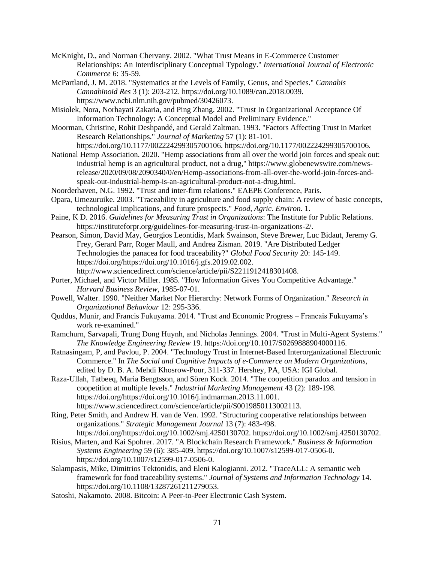- McKnight, D., and Norman Chervany. 2002. "What Trust Means in E-Commerce Customer Relationships: An Interdisciplinary Conceptual Typology." *International Journal of Electronic Commerce* 6: 35-59.
- McPartland, J. M. 2018. "Systematics at the Levels of Family, Genus, and Species." *Cannabis Cannabinoid Res* 3 (1): 203-212. https://doi.org/10.1089/can.2018.0039. https://www.ncbi.nlm.nih.gov/pubmed/30426073.
- Misiolek, Nora, Norhayati Zakaria, and Ping Zhang. 2002. "Trust In Organizational Acceptance Of Information Technology: A Conceptual Model and Preliminary Evidence."
- Moorman, Christine, Rohit Deshpandé, and Gerald Zaltman. 1993. "Factors Affecting Trust in Market Research Relationships." *Journal of Marketing* 57 (1): 81-101.
	- https://doi.org/10.1177/002224299305700106. https://doi.org/10.1177/002224299305700106.
- National Hemp Association. 2020. "Hemp associations from all over the world join forces and speak out: industrial hemp is an agricultural product, not a drug," https://www.globenewswire.com/newsrelease/2020/09/08/2090340/0/en/Hemp-associations-from-all-over-the-world-join-forces-andspeak-out-industrial-hemp-is-an-agricultural-product-not-a-drug.html.
- Noorderhaven, N.G. 1992. "Trust and inter-firm relations." EAEPE Conference, Paris.
- Opara, Umezuruike. 2003. "Traceability in agriculture and food supply chain: A review of basic concepts, technological implications, and future prospects." *Food, Agric. Environ.* 1.
- Paine, K D. 2016. *Guidelines for Measuring Trust in Organizations*: The Institute for Public Relations. https://instituteforpr.org/guidelines-for-measuring-trust-in-organizations-2/.
- Pearson, Simon, David May, Georgios Leontidis, Mark Swainson, Steve Brewer, Luc Bidaut, Jeremy G. Frey, Gerard Parr, Roger Maull, and Andrea Zisman. 2019. "Are Distributed Ledger Technologies the panacea for food traceability?" *Global Food Security* 20: 145-149. https://doi.org/https://doi.org/10.1016/j.gfs.2019.02.002. http://www.sciencedirect.com/science/article/pii/S2211912418301408.
- Porter, Michael, and Victor Miller. 1985. "How Information Gives You Competitive Advantage." *Harvard Business Review*, 1985-07-01.
- Powell, Walter. 1990. "Neither Market Nor Hierarchy: Network Forms of Organization." *Research in Organizational Behaviour* 12: 295-336.
- Quddus, Munir, and Francis Fukuyama. 2014. "Trust and Economic Progress Francais Fukuyama's work re-examined."
- Ramchurn, Sarvapali, Trung Dong Huynh, and Nicholas Jennings. 2004. "Trust in Multi-Agent Systems." *The Knowledge Engineering Review* 19. https://doi.org/10.1017/S0269888904000116.
- Ratnasingam, P, and Pavlou, P. 2004. "Technology Trust in Internet-Based Interorganizational Electronic Commerce." In *The Social and Cognitive Impacts of e-Commerce on Modern Organizations*, edited by D. B. A. Mehdi Khosrow-Pour, 311-337. Hershey, PA, USA: IGI Global.
- Raza-Ullah, Tatbeeq, Maria Bengtsson, and Sören Kock. 2014. "The coopetition paradox and tension in coopetition at multiple levels." *Industrial Marketing Management* 43 (2): 189-198. https://doi.org/https://doi.org/10.1016/j.indmarman.2013.11.001. https://www.sciencedirect.com/science/article/pii/S0019850113002113.
- Ring, Peter Smith, and Andrew H. van de Ven. 1992. "Structuring cooperative relationships between organizations." *Strategic Management Journal* 13 (7): 483-498. https://doi.org/https://doi.org/10.1002/smj.4250130702. https://doi.org/10.1002/smj.4250130702.
- Risius, Marten, and Kai Spohrer. 2017. "A Blockchain Research Framework." *Business & Information Systems Engineering* 59 (6): 385-409. https://doi.org/10.1007/s12599-017-0506-0. https://doi.org/10.1007/s12599-017-0506-0.
- Salampasis, Mike, Dimitrios Tektonidis, and Eleni Kalogianni. 2012. "TraceALL: A semantic web framework for food traceability systems." *Journal of Systems and Information Technology* 14. https://doi.org/10.1108/13287261211279053.
- Satoshi, Nakamoto. 2008. Bitcoin: A Peer-to-Peer Electronic Cash System.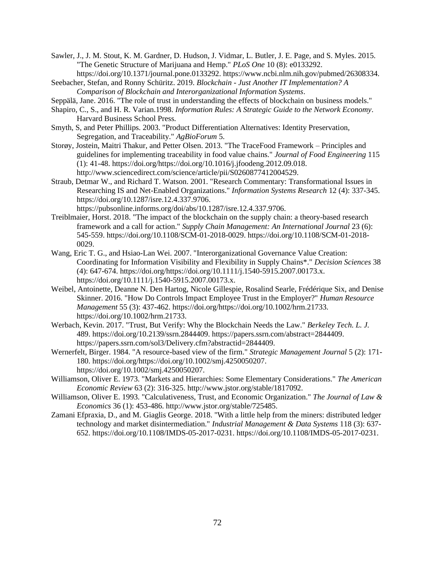Sawler, J., J. M. Stout, K. M. Gardner, D. Hudson, J. Vidmar, L. Butler, J. E. Page, and S. Myles. 2015. "The Genetic Structure of Marijuana and Hemp." *PLoS One* 10 (8): e0133292. https://doi.org/10.1371/journal.pone.0133292. https://www.ncbi.nlm.nih.gov/pubmed/26308334.

Seebacher, Stefan, and Ronny Schüritz. 2019. *Blockchain - Just Another IT Implementation? A Comparison of Blockchain and Interorganizational Information Systems*.

- Seppälä, Jane. 2016. "The role of trust in understanding the effects of blockchain on business models."
- Shapiro, C., S., and H. R. Varian.1998. *Information Rules: A Strategic Guide to the Network Economy*. Harvard Business School Press.
- Smyth, S, and Peter Phillips. 2003. "Product Differentiation Alternatives: Identity Preservation, Segregation, and Traceability." *AgBioForum* 5.
- Storøy, Jostein, Maitri Thakur, and Petter Olsen. 2013. "The TraceFood Framework Principles and guidelines for implementing traceability in food value chains." *Journal of Food Engineering* 115 (1): 41-48. https://doi.org/https://doi.org/10.1016/j.jfoodeng.2012.09.018. http://www.sciencedirect.com/science/article/pii/S0260877412004529.
- Straub, Detmar W., and Richard T. Watson. 2001. "Research Commentary: Transformational Issues in Researching IS and Net-Enabled Organizations." *Information Systems Research* 12 (4): 337-345. https://doi.org/10.1287/isre.12.4.337.9706.

https://pubsonline.informs.org/doi/abs/10.1287/isre.12.4.337.9706.

- Treiblmaier, Horst. 2018. "The impact of the blockchain on the supply chain: a theory-based research framework and a call for action." *Supply Chain Management: An International Journal* 23 (6): 545-559. https://doi.org/10.1108/SCM-01-2018-0029. https://doi.org/10.1108/SCM-01-2018- 0029.
- Wang, Eric T. G., and Hsiao-Lan Wei. 2007. "Interorganizational Governance Value Creation: Coordinating for Information Visibility and Flexibility in Supply Chains\*." *Decision Sciences* 38 (4): 647-674. https://doi.org/https://doi.org/10.1111/j.1540-5915.2007.00173.x. https://doi.org/10.1111/j.1540-5915.2007.00173.x.
- Weibel, Antoinette, Deanne N. Den Hartog, Nicole Gillespie, Rosalind Searle, Frédérique Six, and Denise Skinner. 2016. "How Do Controls Impact Employee Trust in the Employer?" *Human Resource Management* 55 (3): 437-462. https://doi.org/https://doi.org/10.1002/hrm.21733. https://doi.org/10.1002/hrm.21733.
- Werbach, Kevin. 2017. "Trust, But Verify: Why the Blockchain Needs the Law." *Berkeley Tech. L. J.* 489. https://doi.org/10.2139/ssrn.2844409. https://papers.ssrn.com/abstract=2844409. https://papers.ssrn.com/sol3/Delivery.cfm?abstractid=2844409.
- Wernerfelt, Birger. 1984. "A resource-based view of the firm." *Strategic Management Journal* 5 (2): 171- 180. https://doi.org/https://doi.org/10.1002/smj.4250050207. https://doi.org/10.1002/smj.4250050207.
- Williamson, Oliver E. 1973. "Markets and Hierarchies: Some Elementary Considerations." *The American Economic Review* 63 (2): 316-325. http://www.jstor.org/stable/1817092.
- Williamson, Oliver E. 1993. "Calculativeness, Trust, and Economic Organization." *The Journal of Law & Economics* 36 (1): 453-486. http://www.jstor.org/stable/725485.
- Zamani Efpraxia, D., and M. Giaglis George. 2018. "With a little help from the miners: distributed ledger technology and market disintermediation." *Industrial Management & Data Systems* 118 (3): 637- 652. https://doi.org/10.1108/IMDS-05-2017-0231. https://doi.org/10.1108/IMDS-05-2017-0231.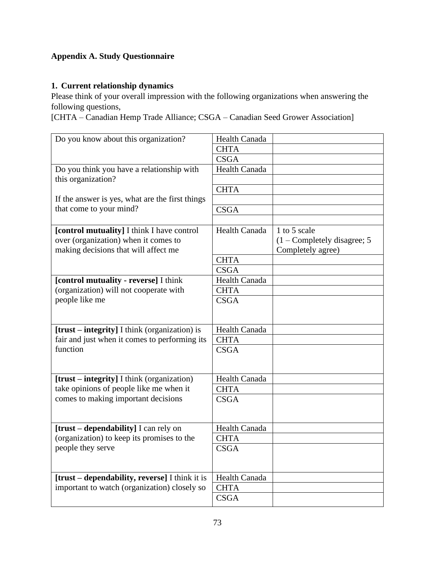# **Appendix A. Study Questionnaire**

## **1. Current relationship dynamics**

Please think of your overall impression with the following organizations when answering the following questions,

[CHTA – Canadian Hemp Trade Alliance; CSGA – Canadian Seed Grower Association]

| Do you know about this organization?            | <b>Health Canada</b> |                                        |
|-------------------------------------------------|----------------------|----------------------------------------|
|                                                 | <b>CHTA</b>          |                                        |
|                                                 | <b>CSGA</b>          |                                        |
| Do you think you have a relationship with       | <b>Health Canada</b> |                                        |
| this organization?                              |                      |                                        |
|                                                 | <b>CHTA</b>          |                                        |
| If the answer is yes, what are the first things |                      |                                        |
| that come to your mind?                         | <b>CSGA</b>          |                                        |
|                                                 |                      |                                        |
| [control mutuality] I think I have control      | Health Canada        | 1 to 5 scale                           |
| over (organization) when it comes to            |                      | $(1 - \text{Complexed} y)$ disagree; 5 |
| making decisions that will affect me            |                      | Completely agree)                      |
|                                                 | <b>CHTA</b>          |                                        |
|                                                 | <b>CSGA</b>          |                                        |
| [control mutuality - reverse] I think           | Health Canada        |                                        |
| (organization) will not cooperate with          | <b>CHTA</b>          |                                        |
| people like me                                  | <b>CSGA</b>          |                                        |
|                                                 |                      |                                        |
|                                                 |                      |                                        |
| [trust – integrity] I think (organization) is   | Health Canada        |                                        |
| fair and just when it comes to performing its   | <b>CHTA</b>          |                                        |
| function                                        | <b>CSGA</b>          |                                        |
|                                                 |                      |                                        |
|                                                 |                      |                                        |
| [trust – integrity] I think (organization)      | <b>Health Canada</b> |                                        |
| take opinions of people like me when it         | <b>CHTA</b>          |                                        |
| comes to making important decisions             | <b>CSGA</b>          |                                        |
|                                                 |                      |                                        |
|                                                 |                      |                                        |
| [trust – dependability] I can rely on           | <b>Health Canada</b> |                                        |
| (organization) to keep its promises to the      | <b>CHTA</b>          |                                        |
| people they serve                               | <b>CSGA</b>          |                                        |
|                                                 |                      |                                        |
|                                                 |                      |                                        |
| [trust - dependability, reverse] I think it is  | Health Canada        |                                        |
| important to watch (organization) closely so    | <b>CHTA</b>          |                                        |
|                                                 | <b>CSGA</b>          |                                        |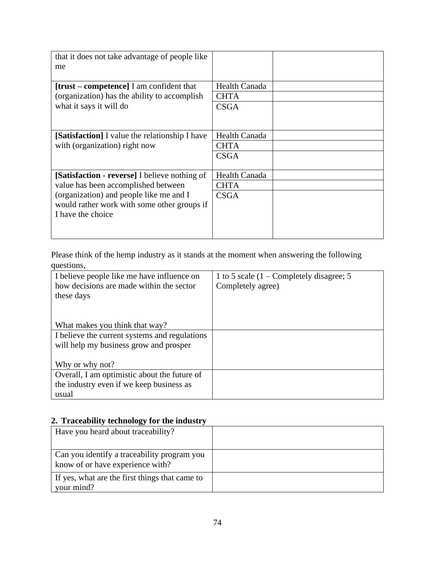| that it does not take advantage of people like<br>me                                                        |                      |  |
|-------------------------------------------------------------------------------------------------------------|----------------------|--|
| $[trust-compact] I$ am confident that                                                                       | <b>Health Canada</b> |  |
| (organization) has the ability to accomplish                                                                | <b>CHTA</b>          |  |
| what it says it will do                                                                                     | <b>CSGA</b>          |  |
| <b>[Satisfaction]</b> I value the relationship I have                                                       | <b>Health Canada</b> |  |
| with (organization) right now                                                                               | <b>CHTA</b>          |  |
|                                                                                                             | <b>CSGA</b>          |  |
| [Satisfaction - reverse] I believe nothing of                                                               | Health Canada        |  |
| value has been accomplished between                                                                         | <b>CHTA</b>          |  |
| (organization) and people like me and I<br>would rather work with some other groups if<br>I have the choice | <b>CSGA</b>          |  |
|                                                                                                             |                      |  |

Please think of the hemp industry as it stands at the moment when answering the following questions,

| 1 to 5 scale $(1 -$ Completely disagree; 5 |
|--------------------------------------------|
| Completely agree)                          |
|                                            |
|                                            |
|                                            |
|                                            |
|                                            |
|                                            |
|                                            |
|                                            |
|                                            |
|                                            |
|                                            |
|                                            |

## **2. Traceability technology for the industry**

| Have you heard about traceability?                                              |  |
|---------------------------------------------------------------------------------|--|
| Can you identify a traceability program you<br>know of or have experience with? |  |
| If yes, what are the first things that came to<br>your mind?                    |  |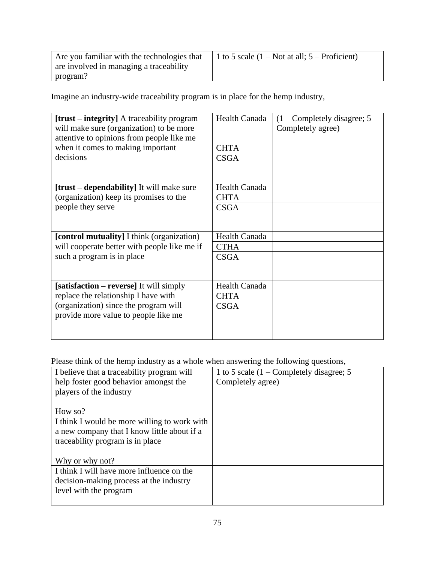| Are you familiar with the technologies that | 1 to 5 scale $(1 - Not at all; 5 - Proficient)$ |
|---------------------------------------------|-------------------------------------------------|
| are involved in managing a traceability     |                                                 |
| program?                                    |                                                 |

Imagine an industry-wide traceability program is in place for the hemp industry,

| <b>[trust – integrity]</b> A traceability program<br>will make sure (organization) to be more<br>attentive to opinions from people like me<br>when it comes to making important<br>decisions | <b>Health Canada</b><br><b>CHTA</b><br><b>CSGA</b> | $(1 -$ Completely disagree; $5 -$<br>Completely agree) |
|----------------------------------------------------------------------------------------------------------------------------------------------------------------------------------------------|----------------------------------------------------|--------------------------------------------------------|
|                                                                                                                                                                                              |                                                    |                                                        |
| <b>[trust – dependability]</b> It will make sure                                                                                                                                             | <b>Health Canada</b>                               |                                                        |
| (organization) keep its promises to the                                                                                                                                                      | <b>CHTA</b>                                        |                                                        |
| people they serve                                                                                                                                                                            | <b>CSGA</b>                                        |                                                        |
| [control mutuality] I think (organization)                                                                                                                                                   | <b>Health Canada</b>                               |                                                        |
| will cooperate better with people like me if                                                                                                                                                 | <b>CTHA</b>                                        |                                                        |
| such a program is in place                                                                                                                                                                   | <b>CSGA</b>                                        |                                                        |
| [satisfaction – reverse] It will simply                                                                                                                                                      | <b>Health Canada</b>                               |                                                        |
| replace the relationship I have with                                                                                                                                                         | <b>CHTA</b>                                        |                                                        |
| (organization) since the program will<br>provide more value to people like me                                                                                                                | <b>CSGA</b>                                        |                                                        |

Please think of the hemp industry as a whole when answering the following questions,

| I believe that a traceability program will   | 1 to 5 scale $(1 -$ Completely disagree; 5 |
|----------------------------------------------|--------------------------------------------|
| help foster good behavior amongst the        | Completely agree)                          |
| players of the industry                      |                                            |
|                                              |                                            |
| How so?                                      |                                            |
| I think I would be more willing to work with |                                            |
| a new company that I know little about if a  |                                            |
| traceability program is in place             |                                            |
|                                              |                                            |
| Why or why not?                              |                                            |
| I think I will have more influence on the    |                                            |
| decision-making process at the industry      |                                            |
| level with the program                       |                                            |
|                                              |                                            |
|                                              |                                            |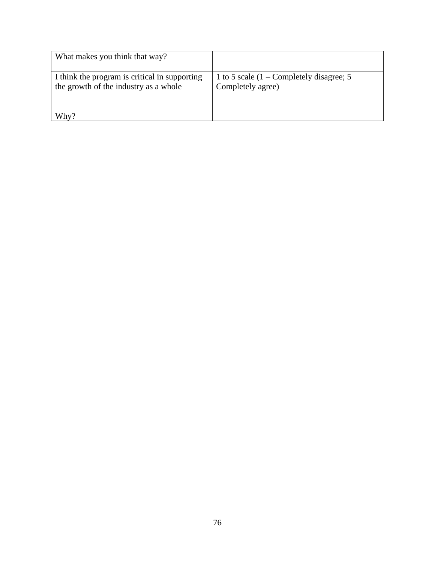| What makes you think that way?                                                         |                                                                 |
|----------------------------------------------------------------------------------------|-----------------------------------------------------------------|
| I think the program is critical in supporting<br>the growth of the industry as a whole | 1 to 5 scale $(1 -$ Completely disagree; 5<br>Completely agree) |
| Why?                                                                                   |                                                                 |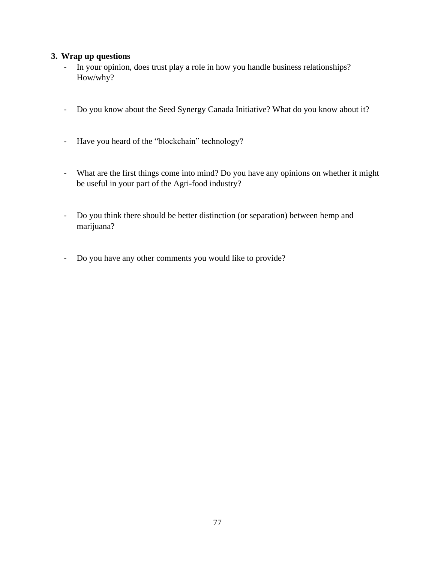### **3. Wrap up questions**

- In your opinion, does trust play a role in how you handle business relationships? How/why?
- Do you know about the Seed Synergy Canada Initiative? What do you know about it?
- Have you heard of the "blockchain" technology?
- What are the first things come into mind? Do you have any opinions on whether it might be useful in your part of the Agri-food industry?
- Do you think there should be better distinction (or separation) between hemp and marijuana?
- Do you have any other comments you would like to provide?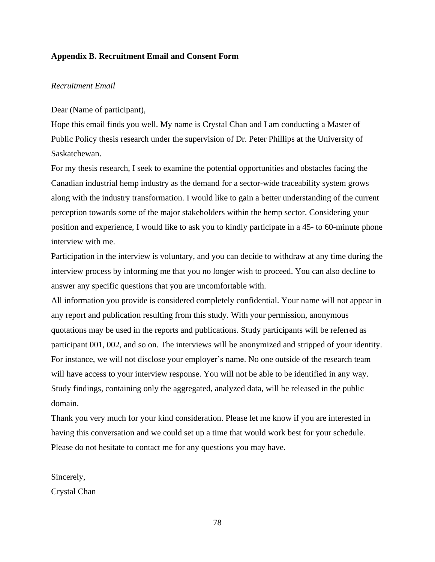### **Appendix B. Recruitment Email and Consent Form**

### *Recruitment Email*

Dear (Name of participant),

Hope this email finds you well. My name is Crystal Chan and I am conducting a Master of Public Policy thesis research under the supervision of Dr. Peter Phillips at the University of Saskatchewan.

For my thesis research, I seek to examine the potential opportunities and obstacles facing the Canadian industrial hemp industry as the demand for a sector-wide traceability system grows along with the industry transformation. I would like to gain a better understanding of the current perception towards some of the major stakeholders within the hemp sector. Considering your position and experience, I would like to ask you to kindly participate in a 45- to 60-minute phone interview with me.

Participation in the interview is voluntary, and you can decide to withdraw at any time during the interview process by informing me that you no longer wish to proceed. You can also decline to answer any specific questions that you are uncomfortable with.

All information you provide is considered completely confidential. Your name will not appear in any report and publication resulting from this study. With your permission, anonymous quotations may be used in the reports and publications. Study participants will be referred as participant 001, 002, and so on. The interviews will be anonymized and stripped of your identity. For instance, we will not disclose your employer's name. No one outside of the research team will have access to your interview response. You will not be able to be identified in any way. Study findings, containing only the aggregated, analyzed data, will be released in the public domain.

Thank you very much for your kind consideration. Please let me know if you are interested in having this conversation and we could set up a time that would work best for your schedule. Please do not hesitate to contact me for any questions you may have.

Sincerely,

Crystal Chan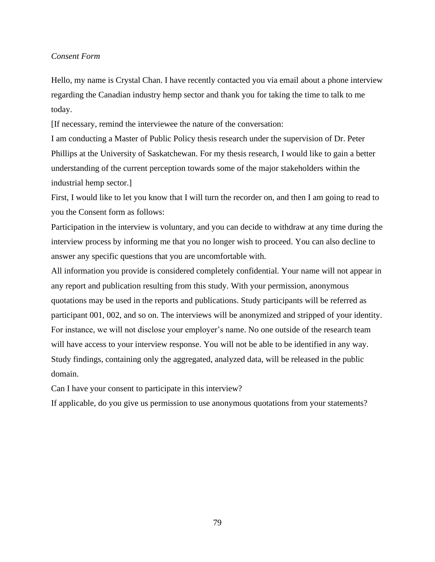### *Consent Form*

Hello, my name is Crystal Chan. I have recently contacted you via email about a phone interview regarding the Canadian industry hemp sector and thank you for taking the time to talk to me today.

[If necessary, remind the interviewee the nature of the conversation:

I am conducting a Master of Public Policy thesis research under the supervision of Dr. Peter Phillips at the University of Saskatchewan. For my thesis research, I would like to gain a better understanding of the current perception towards some of the major stakeholders within the industrial hemp sector.]

First, I would like to let you know that I will turn the recorder on, and then I am going to read to you the Consent form as follows:

Participation in the interview is voluntary, and you can decide to withdraw at any time during the interview process by informing me that you no longer wish to proceed. You can also decline to answer any specific questions that you are uncomfortable with.

All information you provide is considered completely confidential. Your name will not appear in any report and publication resulting from this study. With your permission, anonymous quotations may be used in the reports and publications. Study participants will be referred as participant 001, 002, and so on. The interviews will be anonymized and stripped of your identity. For instance, we will not disclose your employer's name. No one outside of the research team will have access to your interview response. You will not be able to be identified in any way. Study findings, containing only the aggregated, analyzed data, will be released in the public domain.

Can I have your consent to participate in this interview?

If applicable, do you give us permission to use anonymous quotations from your statements?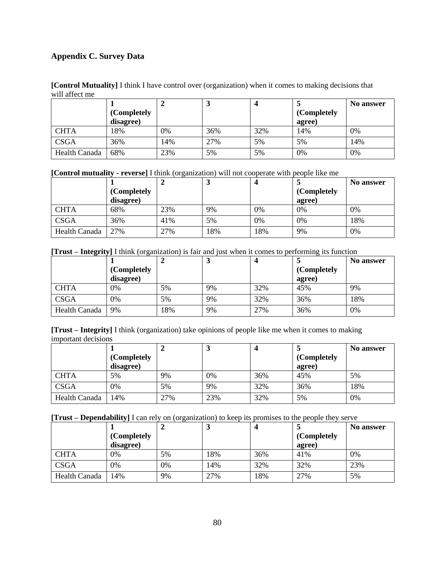## **Appendix C. Survey Data**

**[Control Mutuality]** I think I have control over (organization) when it comes to making decisions that will affect me

|                      |             | ↵   | J   |     |             | No answer |
|----------------------|-------------|-----|-----|-----|-------------|-----------|
|                      | (Completely |     |     |     | (Completely |           |
|                      | disagree)   |     |     |     | agree)      |           |
| <b>CHTA</b>          | 18%         | 0%  | 36% | 32% | 14%         | 0%        |
| <b>CSGA</b>          | 36%         | 14% | 27% | 5%  | 5%          | 14%       |
| <b>Health Canada</b> | 68%         | 23% | 5%  | 5%  | 0%          | 0%        |

**[Control mutuality - reverse]** I think (organization) will not cooperate with people like me

|                      |             |     |     | 4   |             | No answer |
|----------------------|-------------|-----|-----|-----|-------------|-----------|
|                      | (Completely |     |     |     | (Completely |           |
|                      | disagree)   |     |     |     | agree)      |           |
| <b>CHTA</b>          | 68%         | 23% | 9%  | 0%  | 0%          | 0%        |
| <b>CSGA</b>          | 36%         | 41% | 5%  | 0%  | 0%          | 18%       |
| <b>Health Canada</b> | 27%         | 27% | 18% | 18% | 9%          | 0%        |

**[Trust – Integrity]** I think (organization) is fair and just when it comes to performing its function

|               |             |     | ມ  |     |             | No answer |
|---------------|-------------|-----|----|-----|-------------|-----------|
|               | (Completely |     |    |     | (Completely |           |
|               | disagree)   |     |    |     | agree)      |           |
| <b>CHTA</b>   | 0%          | 5%  | 9% | 32% | 45%         | 9%        |
| <b>CSGA</b>   | 0%          | 5%  | 9% | 32% | 36%         | 18%       |
| Health Canada | 9%          | 18% | 9% | 27% | 36%         | 0%        |

**[Trust – Integrity]** I think (organization) take opinions of people like me when it comes to making important decisions

|               |             |     | J   | 4   |             | <b>No answer</b> |
|---------------|-------------|-----|-----|-----|-------------|------------------|
|               | (Completely |     |     |     | (Completely |                  |
|               | disagree)   |     |     |     | agree)      |                  |
| <b>CHTA</b>   | 5%          | 9%  | 0%  | 36% | 45%         | 5%               |
| <b>CSGA</b>   | 0%          | 5%  | 9%  | 32% | 36%         | 18%              |
| Health Canada | 14%         | 27% | 23% | 32% | 5%          | 0%               |

**[Trust – Dependability]** I can rely on (organization) to keep its promises to the people they serve

|               |             |    |     | 4   |             | <b>No answer</b> |
|---------------|-------------|----|-----|-----|-------------|------------------|
|               | (Completely |    |     |     | (Completely |                  |
|               | disagree)   |    |     |     | agree)      |                  |
| <b>CHTA</b>   | 0%          | 5% | 18% | 36% | 41%         | 0%               |
| <b>CSGA</b>   | 0%          | 0% | 14% | 32% | 32%         | 23%              |
| Health Canada | 14%         | 9% | 27% | 18% | 27%         | 5%               |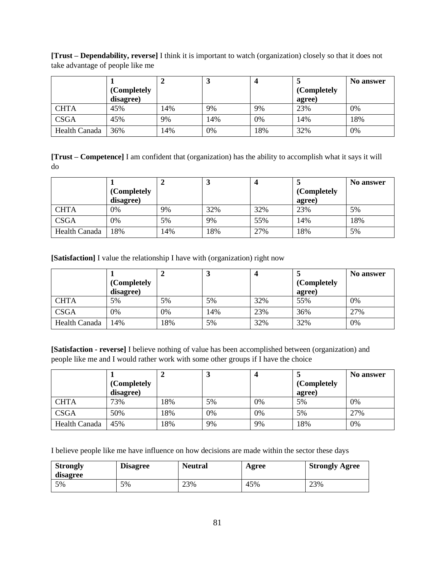**[Trust – Dependability, reverse]** I think it is important to watch (organization) closely so that it does not take advantage of people like me

|                      |             |     | J   |     |             | No answer |
|----------------------|-------------|-----|-----|-----|-------------|-----------|
|                      | (Completely |     |     |     | (Completely |           |
|                      | disagree)   |     |     |     | agree)      |           |
| <b>CHTA</b>          | 45%         | 14% | 9%  | 9%  | 23%         | 0%        |
| <b>CSGA</b>          | 45%         | 9%  | 14% | 0%  | 14%         | 18%       |
| <b>Health Canada</b> | 36%         | 14% | 0%  | 18% | 32%         | 0%        |

**[Trust – Competence]** I am confident that (organization) has the ability to accomplish what it says it will do

|               |             |     | ມ   |     |             | No answer |
|---------------|-------------|-----|-----|-----|-------------|-----------|
|               | (Completely |     |     |     | (Completely |           |
|               | disagree)   |     |     |     | agree)      |           |
| <b>CHTA</b>   | 0%          | 9%  | 32% | 32% | 23%         | 5%        |
| <b>CSGA</b>   | 0%          | 5%  | 9%  | 55% | 14%         | 18%       |
| Health Canada | 18%         | 14% | 18% | 27% | 18%         | 5%        |

**[Satisfaction]** I value the relationship I have with (organization) right now

|                      |             |     |     |     |             | No answer |
|----------------------|-------------|-----|-----|-----|-------------|-----------|
|                      | (Completely |     |     |     | (Completely |           |
|                      | disagree)   |     |     |     | agree)      |           |
| <b>CHTA</b>          | 5%          | 5%  | 5%  | 32% | 55%         | 0%        |
| <b>CSGA</b>          | 0%          | 0%  | 14% | 23% | 36%         | 27%       |
| <b>Health Canada</b> | 14%         | 18% | 5%  | 32% | 32%         | 0%        |

**[Satisfaction - reverse]** I believe nothing of value has been accomplished between (organization) and people like me and I would rather work with some other groups if I have the choice

|               |             |     | ມ  |    |             | No answer |
|---------------|-------------|-----|----|----|-------------|-----------|
|               | (Completely |     |    |    | (Completely |           |
|               | disagree)   |     |    |    | agree)      |           |
| <b>CHTA</b>   | 73%         | 18% | 5% | 0% | 5%          | 0%        |
| <b>CSGA</b>   | 50%         | 18% | 0% | 0% | 5%          | 27%       |
| Health Canada | 45%         | 18% | 9% | 9% | 18%         | 0%        |

I believe people like me have influence on how decisions are made within the sector these days

| <b>Strongly</b><br>disagree | <b>Disagree</b> | <b>Neutral</b> | Agree | <b>Strongly Agree</b> |
|-----------------------------|-----------------|----------------|-------|-----------------------|
| 5%                          | 5%              | 23%            | 45%   | 23%                   |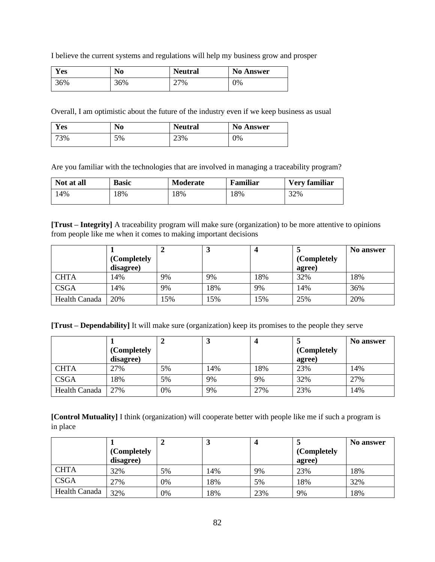I believe the current systems and regulations will help my business grow and prosper

| $\overline{\mathbf{x}}$ $\overline{\mathbf{z}}$<br>Y es | No  | <b>Neutral</b> | <b>No Answer</b> |
|---------------------------------------------------------|-----|----------------|------------------|
| 36%                                                     | 36% | 27%            | 0%               |

Overall, I am optimistic about the future of the industry even if we keep business as usual

| T<br>Y es | No | <b>Neutral</b> | <b>No Answer</b> |
|-----------|----|----------------|------------------|
| 73%       | 5% | 23%            | 0%               |

Are you familiar with the technologies that are involved in managing a traceability program?

| Not at all | <b>Basic</b> | <b>Moderate</b> | Familiar | Very familiar |
|------------|--------------|-----------------|----------|---------------|
| 14%        | 18%          | 18%             | 18%      | 32%           |

**[Trust – Integrity]** A traceability program will make sure (organization) to be more attentive to opinions from people like me when it comes to making important decisions

|               |             |     |     | 4   |             | No answer |
|---------------|-------------|-----|-----|-----|-------------|-----------|
|               | (Completely |     |     |     | (Completely |           |
|               | disagree)   |     |     |     | agree)      |           |
| <b>CHTA</b>   | 14%         | 9%  | 9%  | 18% | 32%         | 18%       |
| <b>CSGA</b>   | 14%         | 9%  | 18% | 9%  | 14%         | 36%       |
| Health Canada | 20%         | 15% | 15% | 15% | 25%         | 20%       |

**[Trust – Dependability]** It will make sure (organization) keep its promises to the people they serve

|                      |             |    | <b>.</b> |     |             | No answer |
|----------------------|-------------|----|----------|-----|-------------|-----------|
|                      | (Completely |    |          |     | (Completely |           |
|                      | disagree)   |    |          |     | agree)      |           |
| <b>CHTA</b>          | 27%         | 5% | 14%      | 18% | 23%         | 14%       |
| <b>CSGA</b>          | 18%         | 5% | 9%       | 9%  | 32%         | 27%       |
| <b>Health Canada</b> | 27%         | 0% | 9%       | 27% | 23%         | 14%       |

**[Control Mutuality]** I think (organization) will cooperate better with people like me if such a program is in place

|               |                          |    |     | 4   |                       | No answer |
|---------------|--------------------------|----|-----|-----|-----------------------|-----------|
|               | (Completely<br>disagree) |    |     |     | (Completely<br>agree) |           |
| <b>CHTA</b>   | 32%                      | 5% | 14% | 9%  | 23%                   | 18%       |
| <b>CSGA</b>   | 27%                      | 0% | 18% | 5%  | 18%                   | 32%       |
| Health Canada | 32%                      | 0% | 18% | 23% | 9%                    | 18%       |